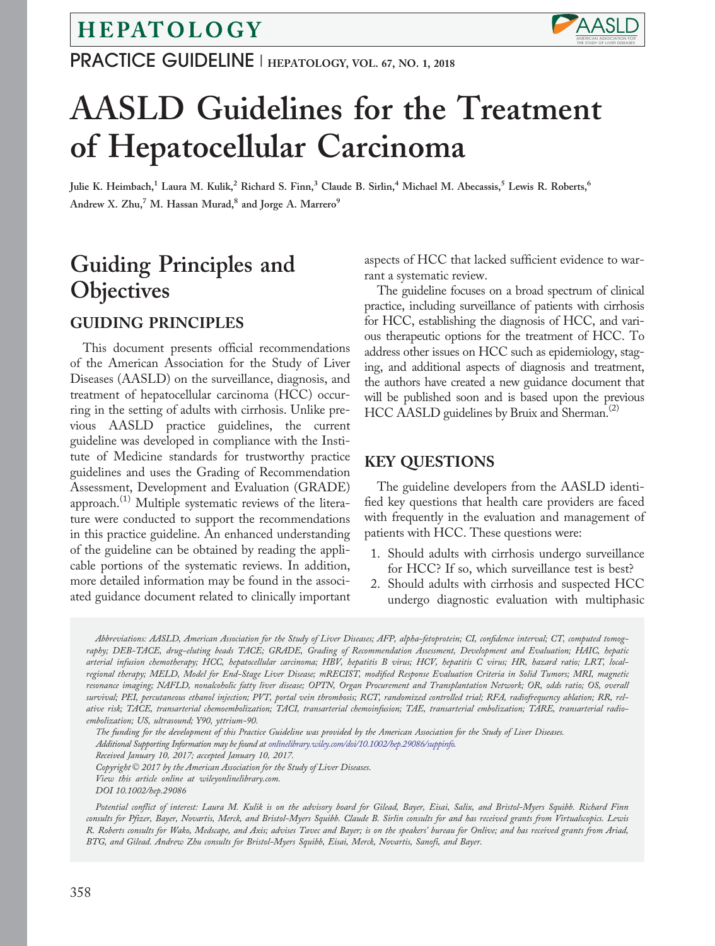# HEPATOLOGY

PRACTICE GUIDELINE | HEPATOLOGY, VOL. 67, NO. 1, 2018



# AASLD Guidelines for the Treatment of Hepatocellular Carcinoma

Julie K. Heimbach,<sup>1</sup> Laura M. Kulik,<sup>2</sup> Richard S. Finn,<sup>3</sup> Claude B. Sirlin,<sup>4</sup> Michael M. Abecassis,<sup>5</sup> Lewis R. Roberts,<sup>6</sup> Andrew X. Zhu,<sup>7</sup> M. Hassan Murad,<sup>8</sup> and Jorge A. Marrero<sup>9</sup>

# Guiding Principles and **Objectives**

# GUIDING PRINCIPLES

This document presents official recommendations of the American Association for the Study of Liver Diseases (AASLD) on the surveillance, diagnosis, and treatment of hepatocellular carcinoma (HCC) occurring in the setting of adults with cirrhosis. Unlike previous AASLD practice guidelines, the current guideline was developed in compliance with the Institute of Medicine standards for trustworthy practice guidelines and uses the Grading of Recommendation Assessment, Development and Evaluation (GRADE) approach.<sup>(1)</sup> Multiple systematic reviews of the literature were conducted to support the recommendations in this practice guideline. An enhanced understanding of the guideline can be obtained by reading the applicable portions of the systematic reviews. In addition, more detailed information may be found in the associated guidance document related to clinically important

aspects of HCC that lacked sufficient evidence to warrant a systematic review.

The guideline focuses on a broad spectrum of clinical practice, including surveillance of patients with cirrhosis for HCC, establishing the diagnosis of HCC, and various therapeutic options for the treatment of HCC. To address other issues on HCC such as epidemiology, staging, and additional aspects of diagnosis and treatment, the authors have created a new guidance document that will be published soon and is based upon the previous  $HCC$  AASLD guidelines by Bruix and Sherman.<sup>(2)</sup>

### KEY QUESTIONS

The guideline developers from the AASLD identified key questions that health care providers are faced with frequently in the evaluation and management of patients with HCC. These questions were:

- 1. Should adults with cirrhosis undergo surveillance for HCC? If so, which surveillance test is best?
- 2. Should adults with cirrhosis and suspected HCC undergo diagnostic evaluation with multiphasic

Abbreviations: AASLD, American Association for the Study of Liver Diseases; AFP, alpha-fetoprotein; CI, confidence interval; CT, computed tomography; DEB-TACE, drug-eluting beads TACE; GRADE, Grading of Recommendation Assessment, Development and Evaluation; HAIC, hepatic arterial infusion chemotherapy; HCC, hepatocellular carcinoma; HBV, hepatitis B virus; HCV, hepatitis C virus; HR, hazard ratio; LRT, localregional therapy; MELD, Model for End-Stage Liver Disease; mRECIST, modified Response Evaluation Criteria in Solid Tumors; MRI, magnetic resonance imaging; NAFLD, nonalcoholic fatty liver disease; OPTN, Organ Procurement and Transplantation Network; OR, odds ratio; OS, overall survival; PEI, percutaneous ethanol injection; PVT, portal vein thrombosis; RCT, randomized controlled trial; RFA, radiofrequency ablation; RR, relative risk; TACE, transarterial chemoembolization; TACI, transarterial chemoinfusion; TAE, transarterial embolization; TARE, transarterial radioembolization; US, ultrasound; Y90, yttrium-90.

The funding for the development of this Practice Guideline was provided by the American Association for the Study of Liver Diseases.

Additional Supporting Information may be found at [onlinelibrary.wiley.com/doi/10.1002/hep.29086/suppinfo.](http://onlinelibrary.wiley.com/doi/10.1002/hep.29086/suppinfo)

Received January 10, 2017; accepted January 10, 2017.

Copyright © 2017 by the American Association for the Study of Liver Diseases.

View this article online at wileyonlinelibrary.com.

DOI 10.1002/hep.29086

Potential conflict of interest: Laura M. Kulik is on the advisory board for Gilead, Bayer, Eisai, Salix, and Bristol-Myers Squibb. Richard Finn consults for Pfizer, Bayer, Novartis, Merck, and Bristol-Myers Squibb. Claude B. Sirlin consults for and has received grants from Virtualscopics. Lewis R. Roberts consults for Wako, Medscape, and Axis; advises Tavec and Bayer; is on the speakers' bureau for Onlive; and has received grants from Ariad, BTG, and Gilead. Andrew Zhu consults for Bristol-Myers Squibb, Eisai, Merck, Novartis, Sanofi, and Bayer.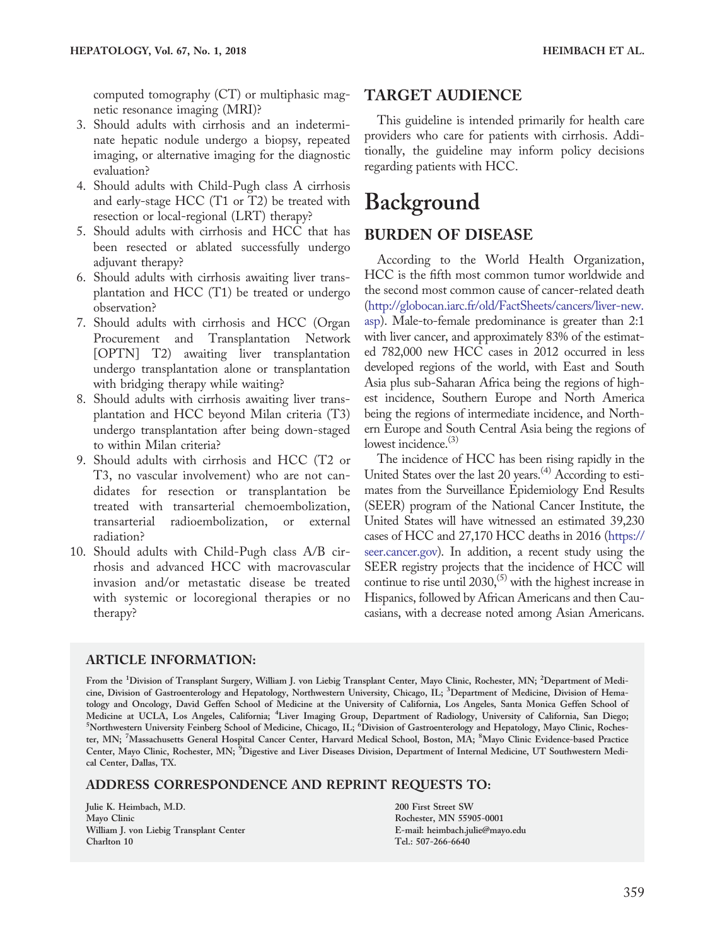computed tomography (CT) or multiphasic magnetic resonance imaging (MRI)?

- 3. Should adults with cirrhosis and an indeterminate hepatic nodule undergo a biopsy, repeated imaging, or alternative imaging for the diagnostic evaluation?
- 4. Should adults with Child-Pugh class A cirrhosis and early-stage HCC (T1 or T2) be treated with resection or local-regional (LRT) therapy?
- 5. Should adults with cirrhosis and HCC that has been resected or ablated successfully undergo adjuvant therapy?
- 6. Should adults with cirrhosis awaiting liver transplantation and HCC (T1) be treated or undergo observation?
- 7. Should adults with cirrhosis and HCC (Organ Procurement and Transplantation Network [OPTN] T2) awaiting liver transplantation undergo transplantation alone or transplantation with bridging therapy while waiting?
- 8. Should adults with cirrhosis awaiting liver transplantation and HCC beyond Milan criteria (T3) undergo transplantation after being down-staged to within Milan criteria?
- 9. Should adults with cirrhosis and HCC (T2 or T3, no vascular involvement) who are not candidates for resection or transplantation be treated with transarterial chemoembolization, transarterial radioembolization, or external radiation?
- 10. Should adults with Child-Pugh class A/B cirrhosis and advanced HCC with macrovascular invasion and/or metastatic disease be treated with systemic or locoregional therapies or no therapy?

# TARGET AUDIENCE

This guideline is intended primarily for health care providers who care for patients with cirrhosis. Additionally, the guideline may inform policy decisions regarding patients with HCC.

# Background

## BURDEN OF DISEASE

According to the World Health Organization, HCC is the fifth most common tumor worldwide and the second most common cause of cancer-related death [\(http://globocan.iarc.fr/old/FactSheets/cancers/liver-new.](http://globocan.iarc.fr/old/FactSheets/cancers/liver-new.asp) [asp\)](http://globocan.iarc.fr/old/FactSheets/cancers/liver-new.asp). Male-to-female predominance is greater than 2:1 with liver cancer, and approximately 83% of the estimated 782,000 new HCC cases in 2012 occurred in less developed regions of the world, with East and South Asia plus sub-Saharan Africa being the regions of highest incidence, Southern Europe and North America being the regions of intermediate incidence, and Northern Europe and South Central Asia being the regions of lowest incidence.<sup>(3)</sup>

The incidence of HCC has been rising rapidly in the United States over the last 20 years.<sup>(4)</sup> According to estimates from the Surveillance Epidemiology End Results (SEER) program of the National Cancer Institute, the United States will have witnessed an estimated 39,230 cases of HCC and 27,170 HCC deaths in 2016 ([https://](https://seer.cancer.gov) [seer.cancer.gov](https://seer.cancer.gov)). In addition, a recent study using the SEER registry projects that the incidence of HCC will continue to rise until 2030,<sup> $(5)$ </sup> with the highest increase in Hispanics, followed by African Americans and then Caucasians, with a decrease noted among Asian Americans.

#### ARTICLE INFORMATION:

From the <sup>1</sup>Division of Transplant Surgery, William J. von Liebig Transplant Center, Mayo Clinic, Rochester, MN; <sup>2</sup>Department of Medicine, Division of Gastroenterology and Hepatology, Northwestern University, Chicago, IL; <sup>3</sup>Department of Medicine, Division of Hematology and Oncology, David Geffen School of Medicine at the University of California, Los Angeles, Santa Monica Geffen School of Medicine at UCLA, Los Angeles, California; <sup>4</sup>Liver Imaging Group, Department of Radiology, University of California, San Diego;<br><sup>5</sup>Northwestern University Feinberg School of Medicine, Chicago, U., <sup>6</sup>Division of Gestroent Northwestern University Feinberg School of Medicine, Chicago, IL; <sup>6</sup>Division of Gastroenterology and Hepatology, Mayo Clinic, Rochester, MN; <sup>7</sup>Massachusetts General Hospital Cancer Center, Harvard Medical School, Boston, MA; <sup>8</sup>Mayo Clinic Evidence-based Practice Center, Mayo Clinic, Rochester, MN; <sup>9</sup>Digestive and Liver Diseases Division, Department of Internal Medicine, UT Southwestern Medical Center, Dallas, TX.

#### ADDRESS CORRESPONDENCE AND REPRINT REQUESTS TO:

Julie K. Heimbach, M.D. Mayo Clinic William J. von Liebig Transplant Center Charlton 10

200 First Street SW Rochester, MN 55905-0001 E-mail: heimbach.julie@mayo.edu Tel.: 507-266-6640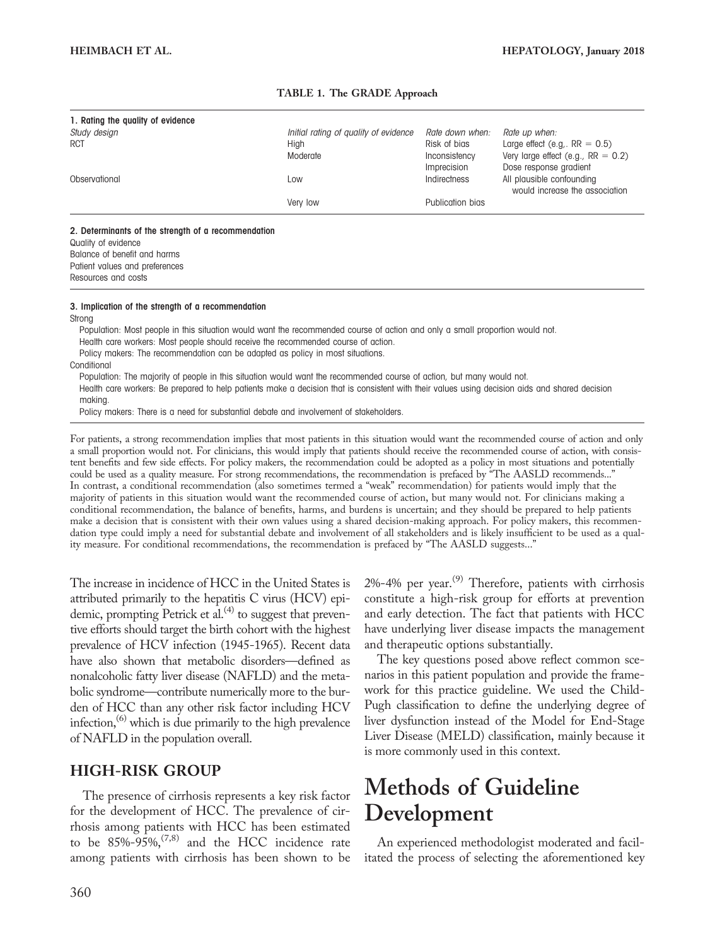| 1. Rating the quality of evidence |                                       |                  |                                                             |
|-----------------------------------|---------------------------------------|------------------|-------------------------------------------------------------|
| Study design                      | Initial rating of quality of evidence | Rate down when:  | Rate up when:                                               |
| <b>RCT</b>                        | High                                  | Risk of bias     | Large effect (e.g., $RR = 0.5$ )                            |
|                                   | Moderate                              | Inconsistency    | Very large effect (e.g., $RR = 0.2$ )                       |
|                                   |                                       | Imprecision      | Dose response gradient                                      |
| Observational                     | Low                                   | Indirectness     | All plausible confounding<br>would increase the association |
|                                   | Very low                              | Publication bias |                                                             |
|                                   |                                       |                  |                                                             |

#### TABLE 1. The GRADE Approach

#### 2. Determinants of the strength of a recommendation

Quality of evidence Balance of benefit and harms Patient values and preferences Resources and costs

#### 3. Implication of the strength of a recommendation

Strong

Population: Most people in this situation would want the recommended course of action and only a small proportion would not. Health care workers: Most people should receive the recommended course of action. Policy makers: The recommendation can be adapted as policy in most situations. **Conditional** 

Population: The majority of people in this situation would want the recommended course of action, but many would not. Health care workers: Be prepared to help patients make a decision that is consistent with their values using decision aids and shared decision

making.

Policy makers: There is a need for substantial debate and involvement of stakeholders.

For patients, a strong recommendation implies that most patients in this situation would want the recommended course of action and only a small proportion would not. For clinicians, this would imply that patients should receive the recommended course of action, with consistent benefits and few side effects. For policy makers, the recommendation could be adopted as a policy in most situations and potentially could be used as a quality measure. For strong recommendations, the recommendation is prefaced by "The AASLD recommends..." In contrast, a conditional recommendation (also sometimes termed a "weak" recommendation) for patients would imply that the majority of patients in this situation would want the recommended course of action, but many would not. For clinicians making a conditional recommendation, the balance of benefits, harms, and burdens is uncertain; and they should be prepared to help patients make a decision that is consistent with their own values using a shared decision-making approach. For policy makers, this recommendation type could imply a need for substantial debate and involvement of all stakeholders and is likely insufficient to be used as a quality measure. For conditional recommendations, the recommendation is prefaced by "The AASLD suggests..."

The increase in incidence of HCC in the United States is attributed primarily to the hepatitis C virus (HCV) epidemic, prompting Petrick et al. $^{(4)}$  to suggest that preventive efforts should target the birth cohort with the highest prevalence of HCV infection (1945-1965). Recent data have also shown that metabolic disorders—defined as nonalcoholic fatty liver disease (NAFLD) and the metabolic syndrome—contribute numerically more to the burden of HCC than any other risk factor including HCV infection, $^{(6)}$  which is due primarily to the high prevalence of NAFLD in the population overall.

# HIGH-RISK GROUP

The presence of cirrhosis represents a key risk factor for the development of HCC. The prevalence of cirrhosis among patients with HCC has been estimated to be  $85\%$ -95%,<sup> $(7,8)$ </sup> and the HCC incidence rate among patients with cirrhosis has been shown to be  $2\%$ -4% per year.<sup>(9)</sup> Therefore, patients with cirrhosis constitute a high-risk group for efforts at prevention and early detection. The fact that patients with HCC have underlying liver disease impacts the management and therapeutic options substantially.

The key questions posed above reflect common scenarios in this patient population and provide the framework for this practice guideline. We used the Child-Pugh classification to define the underlying degree of liver dysfunction instead of the Model for End-Stage Liver Disease (MELD) classification, mainly because it is more commonly used in this context.

# Methods of Guideline Development

An experienced methodologist moderated and facilitated the process of selecting the aforementioned key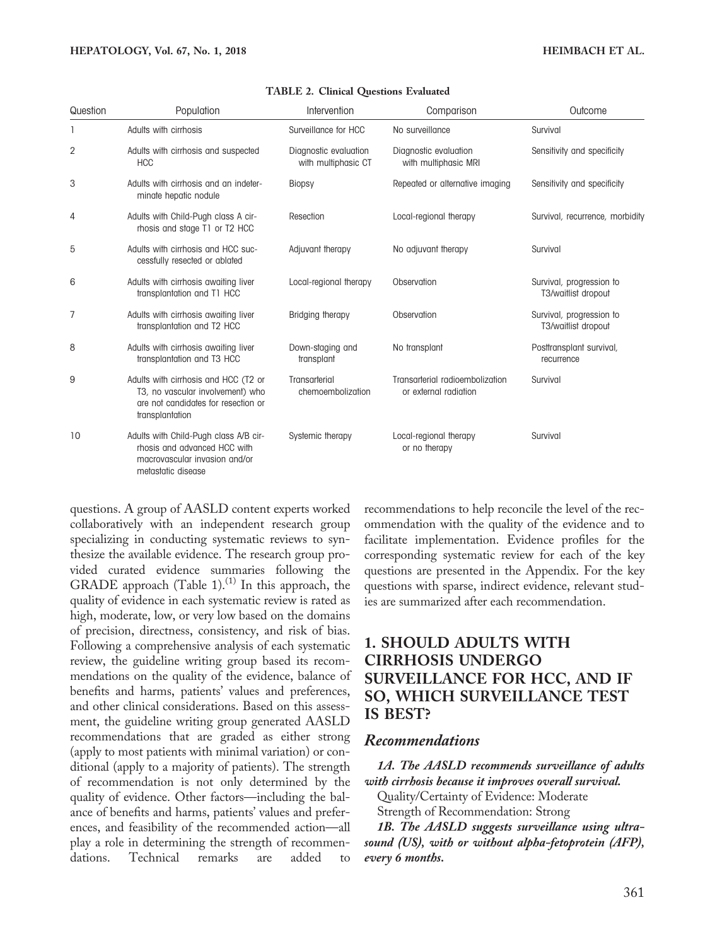| Question       | Population                                                                                                                         | Intervention                                 | Comparison                                               | Outcome                                         |
|----------------|------------------------------------------------------------------------------------------------------------------------------------|----------------------------------------------|----------------------------------------------------------|-------------------------------------------------|
|                | Adults with cirrhosis                                                                                                              | Surveillance for HCC                         | No surveillance                                          | Survival                                        |
| $\overline{2}$ | Adults with cirrhosis and suspected<br><b>HCC</b>                                                                                  | Diagnostic evaluation<br>with multiphasic CT | Diagnostic evaluation<br>with multiphasic MRI            | Sensitivity and specificity                     |
| 3              | Adults with cirrhosis and an indeter-<br>minate hepatic nodule                                                                     | <b>Biopsy</b>                                | Repeated or alternative imaging                          | Sensitivity and specificity                     |
| 4              | Adults with Child-Pugh class A cir-<br>rhosis and stage T1 or T2 HCC                                                               | Resection                                    | Local-regional therapy                                   | Survival, recurrence, morbidity                 |
| 5              | Adults with cirrhosis and HCC suc-<br>cessfully resected or ablated                                                                | Adjuvant therapy                             | No adjuvant therapy                                      | Survival                                        |
| 6              | Adults with cirrhosis awaiting liver<br>transplantation and T1 HCC                                                                 | Local-regional therapy                       | Observation                                              | Survival, progression to<br>T3/waitlist dropout |
| 7              | Adults with cirrhosis awaiting liver<br>transplantation and T2 HCC                                                                 | Bridging therapy                             | Observation                                              | Survival, progression to<br>T3/waitlist dropout |
| 8              | Adults with cirrhosis awaiting liver<br>transplantation and T3 HCC                                                                 | Down-staging and<br>transplant               | No transplant                                            | Posttransplant survival,<br>recurrence          |
| 9              | Adults with cirrhosis and HCC (T2 or<br>T3, no vascular involvement) who<br>are not candidates for resection or<br>transplantation | Transarterial<br>chemoembolization           | Transarterial radioembolization<br>or external radiation | Survival                                        |
| 10             | Adults with Child-Pugh class A/B cir-<br>rhosis and advanced HCC with<br>macrovascular invasion and/or<br>metastatic disease       | Systemic therapy                             | Local-regional therapy<br>or no therapy                  | Survival                                        |

#### TABLE 2. Clinical Questions Evaluated

questions. A group of AASLD content experts worked collaboratively with an independent research group specializing in conducting systematic reviews to synthesize the available evidence. The research group provided curated evidence summaries following the GRADE approach (Table 1).<sup>(1)</sup> In this approach, the quality of evidence in each systematic review is rated as high, moderate, low, or very low based on the domains of precision, directness, consistency, and risk of bias. Following a comprehensive analysis of each systematic review, the guideline writing group based its recommendations on the quality of the evidence, balance of benefits and harms, patients' values and preferences, and other clinical considerations. Based on this assessment, the guideline writing group generated AASLD recommendations that are graded as either strong (apply to most patients with minimal variation) or conditional (apply to a majority of patients). The strength of recommendation is not only determined by the quality of evidence. Other factors—including the balance of benefits and harms, patients' values and preferences, and feasibility of the recommended action—all play a role in determining the strength of recommendations. Technical remarks are added to

recommendations to help reconcile the level of the recommendation with the quality of the evidence and to facilitate implementation. Evidence profiles for the corresponding systematic review for each of the key questions are presented in the Appendix. For the key questions with sparse, indirect evidence, relevant studies are summarized after each recommendation.

# 1. SHOULD ADULTS WITH CIRRHOSIS UNDERGO SURVEILLANCE FOR HCC, AND IF SO, WHICH SURVEILLANCE TEST IS BEST?

#### Recommendations

1A. The AASLD recommends surveillance of adults with cirrhosis because it improves overall survival.

Quality/Certainty of Evidence: Moderate Strength of Recommendation: Strong

1B. The AASLD suggests surveillance using ultrasound (US), with or without alpha-fetoprotein (AFP), every 6 months.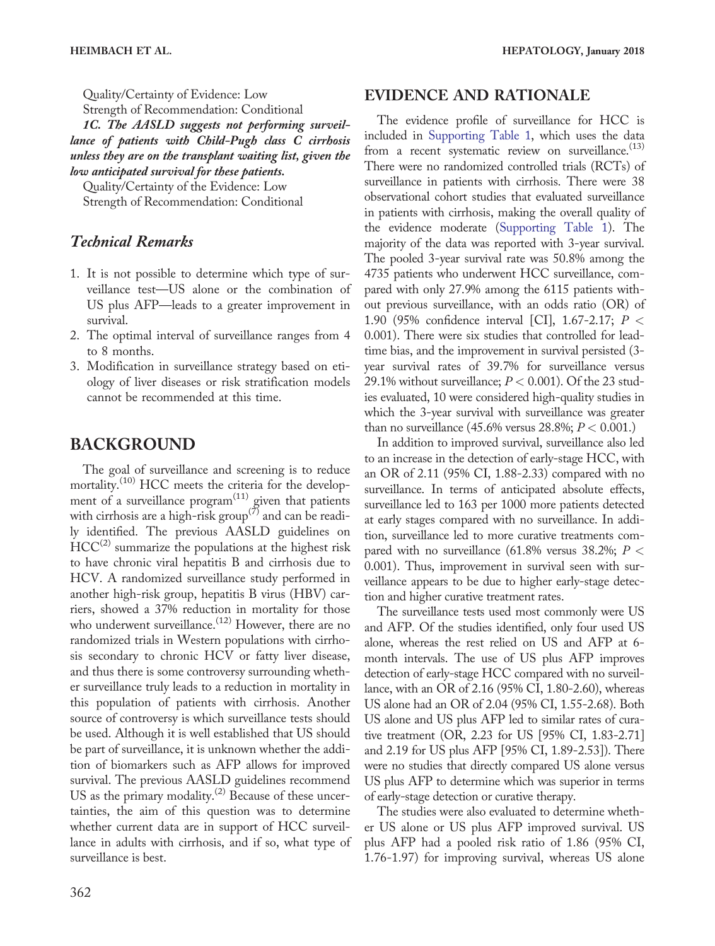Quality/Certainty of Evidence: Low Strength of Recommendation: Conditional

1C. The AASLD suggests not performing surveillance of patients with Child-Pugh class C cirrhosis unless they are on the transplant waiting list, given the low anticipated survival for these patients.

Quality/Certainty of the Evidence: Low Strength of Recommendation: Conditional

# Technical Remarks

- 1. It is not possible to determine which type of surveillance test—US alone or the combination of US plus AFP—leads to a greater improvement in survival.
- 2. The optimal interval of surveillance ranges from 4 to 8 months.
- 3. Modification in surveillance strategy based on etiology of liver diseases or risk stratification models cannot be recommended at this time.

# BACKGROUND

The goal of surveillance and screening is to reduce mortality.<sup>(10)</sup> HCC meets the criteria for the development of a surveillance  $program<sup>(11)</sup>$  given that patients with cirrhosis are a high-risk group<sup>( $\overline{7}$ </sup>) and can be readily identified. The previous AASLD guidelines on  $HCC^{(2)}$  summarize the populations at the highest risk to have chronic viral hepatitis B and cirrhosis due to HCV. A randomized surveillance study performed in another high-risk group, hepatitis B virus (HBV) carriers, showed a 37% reduction in mortality for those who underwent surveillance.<sup>(12)</sup> However, there are no randomized trials in Western populations with cirrhosis secondary to chronic HCV or fatty liver disease, and thus there is some controversy surrounding whether surveillance truly leads to a reduction in mortality in this population of patients with cirrhosis. Another source of controversy is which surveillance tests should be used. Although it is well established that US should be part of surveillance, it is unknown whether the addition of biomarkers such as AFP allows for improved survival. The previous AASLD guidelines recommend US as the primary modality.<sup>(2)</sup> Because of these uncertainties, the aim of this question was to determine whether current data are in support of HCC surveillance in adults with cirrhosis, and if so, what type of surveillance is best.

# EVIDENCE AND RATIONALE

The evidence profile of surveillance for HCC is included in [Supporting Table 1,](http://onlinelibrary.wiley.com/doi/10.1002/hep.29086/suppinfo) which uses the data from a recent systematic review on surveillance.<sup>(13)</sup> There were no randomized controlled trials (RCTs) of surveillance in patients with cirrhosis. There were 38 observational cohort studies that evaluated surveillance in patients with cirrhosis, making the overall quality of the evidence moderate ([Supporting Table 1\)](http://onlinelibrary.wiley.com/doi/10.1002/hep.29086/suppinfo). The majority of the data was reported with 3-year survival. The pooled 3-year survival rate was 50.8% among the 4735 patients who underwent HCC surveillance, compared with only 27.9% among the 6115 patients without previous surveillance, with an odds ratio (OR) of 1.90 (95% confidence interval [CI], 1.67-2.17; P < 0.001). There were six studies that controlled for leadtime bias, and the improvement in survival persisted (3 year survival rates of 39.7% for surveillance versus 29.1% without surveillance;  $P < 0.001$ ). Of the 23 studies evaluated, 10 were considered high-quality studies in which the 3-year survival with surveillance was greater than no surveillance (45.6% versus 28.8%;  $P < 0.001$ .)

In addition to improved survival, surveillance also led to an increase in the detection of early-stage HCC, with an OR of 2.11 (95% CI, 1.88-2.33) compared with no surveillance. In terms of anticipated absolute effects, surveillance led to 163 per 1000 more patients detected at early stages compared with no surveillance. In addition, surveillance led to more curative treatments compared with no surveillance (61.8% versus 38.2%;  $P$  < 0.001). Thus, improvement in survival seen with surveillance appears to be due to higher early-stage detection and higher curative treatment rates.

The surveillance tests used most commonly were US and AFP. Of the studies identified, only four used US alone, whereas the rest relied on US and AFP at 6 month intervals. The use of US plus AFP improves detection of early-stage HCC compared with no surveillance, with an OR of 2.16 (95% CI, 1.80-2.60), whereas US alone had an OR of 2.04 (95% CI, 1.55-2.68). Both US alone and US plus AFP led to similar rates of curative treatment (OR, 2.23 for US [95% CI, 1.83-2.71] and 2.19 for US plus AFP [95% CI, 1.89-2.53]). There were no studies that directly compared US alone versus US plus AFP to determine which was superior in terms of early-stage detection or curative therapy.

The studies were also evaluated to determine whether US alone or US plus AFP improved survival. US plus AFP had a pooled risk ratio of 1.86 (95% CI, 1.76-1.97) for improving survival, whereas US alone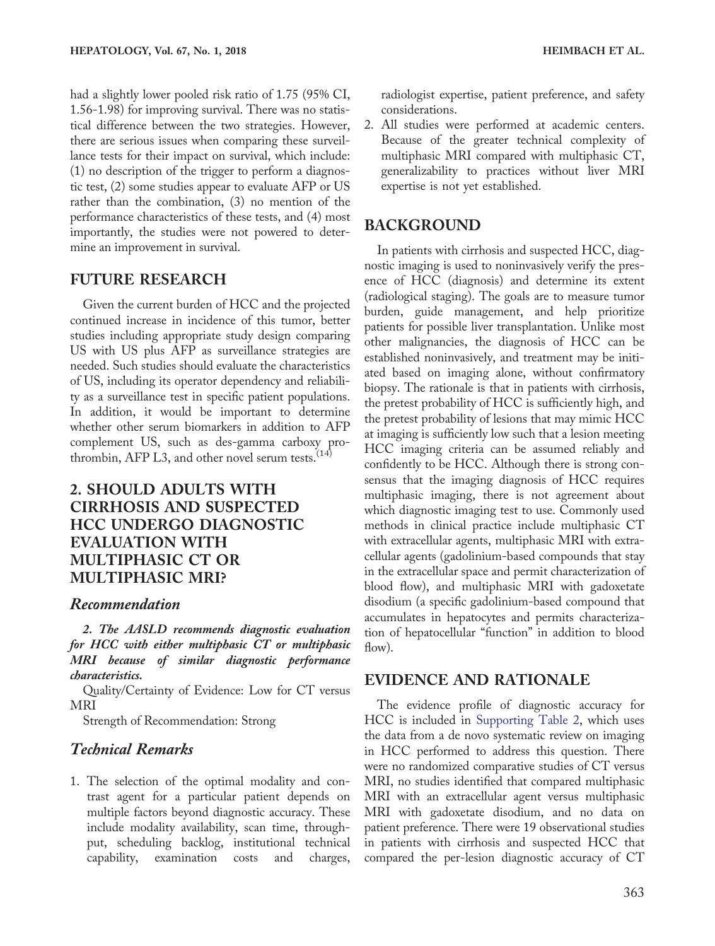had a slightly lower pooled risk ratio of 1.75 (95% CI, 1.56-1.98) for improving survival. There was no statistical difference between the two strategies. However, there are serious issues when comparing these surveillance tests for their impact on survival, which include: (1) no description of the trigger to perform a diagnostic test, (2) some studies appear to evaluate AFP or US rather than the combination, (3) no mention of the performance characteristics of these tests, and (4) most importantly, the studies were not powered to determine an improvement in survival.

#### FUTURE RESEARCH

Given the current burden of HCC and the projected continued increase in incidence of this tumor, better studies including appropriate study design comparing US with US plus AFP as surveillance strategies are needed. Such studies should evaluate the characteristics of US, including its operator dependency and reliability as a surveillance test in specific patient populations. In addition, it would be important to determine whether other serum biomarkers in addition to AFP complement US, such as des-gamma carboxy prothrombin, AFP L3, and other novel serum tests. $(14)$ 

# 2. SHOULD ADULTS WITH CIRRHOSIS AND SUSPECTED HCC UNDERGO DIAGNOSTIC EVALUATION WITH MULTIPHASIC CT OR MULTIPHASIC MRI?

#### Recommendation

2. The AASLD recommends diagnostic evaluation for HCC with either multiphasic CT or multiphasic MRI because of similar diagnostic performance characteristics.

Quality/Certainty of Evidence: Low for CT versus MRI

Strength of Recommendation: Strong

### Technical Remarks

1. The selection of the optimal modality and contrast agent for a particular patient depends on multiple factors beyond diagnostic accuracy. These include modality availability, scan time, throughput, scheduling backlog, institutional technical capability, examination costs and charges,

radiologist expertise, patient preference, and safety considerations.

2. All studies were performed at academic centers. Because of the greater technical complexity of multiphasic MRI compared with multiphasic CT, generalizability to practices without liver MRI expertise is not yet established.

#### BACKGROUND

In patients with cirrhosis and suspected HCC, diagnostic imaging is used to noninvasively verify the presence of HCC (diagnosis) and determine its extent (radiological staging). The goals are to measure tumor burden, guide management, and help prioritize patients for possible liver transplantation. Unlike most other malignancies, the diagnosis of HCC can be established noninvasively, and treatment may be initiated based on imaging alone, without confirmatory biopsy. The rationale is that in patients with cirrhosis, the pretest probability of HCC is sufficiently high, and the pretest probability of lesions that may mimic HCC at imaging is sufficiently low such that a lesion meeting HCC imaging criteria can be assumed reliably and confidently to be HCC. Although there is strong consensus that the imaging diagnosis of HCC requires multiphasic imaging, there is not agreement about which diagnostic imaging test to use. Commonly used methods in clinical practice include multiphasic CT with extracellular agents, multiphasic MRI with extracellular agents (gadolinium-based compounds that stay in the extracellular space and permit characterization of blood flow), and multiphasic MRI with gadoxetate disodium (a specific gadolinium-based compound that accumulates in hepatocytes and permits characterization of hepatocellular "function" in addition to blood flow).

#### EVIDENCE AND RATIONALE

The evidence profile of diagnostic accuracy for HCC is included in [Supporting Table 2](http://onlinelibrary.wiley.com/doi/10.1002/hep.29086/suppinfo), which uses the data from a de novo systematic review on imaging in HCC performed to address this question. There were no randomized comparative studies of CT versus MRI, no studies identified that compared multiphasic MRI with an extracellular agent versus multiphasic MRI with gadoxetate disodium, and no data on patient preference. There were 19 observational studies in patients with cirrhosis and suspected HCC that compared the per-lesion diagnostic accuracy of CT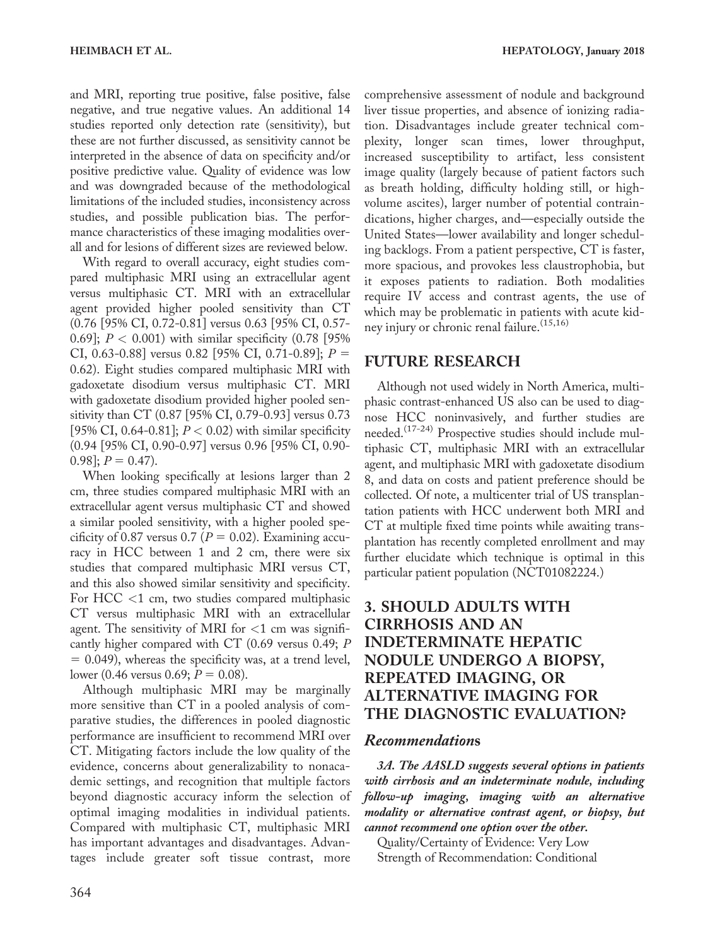and MRI, reporting true positive, false positive, false negative, and true negative values. An additional 14 studies reported only detection rate (sensitivity), but these are not further discussed, as sensitivity cannot be interpreted in the absence of data on specificity and/or positive predictive value. Quality of evidence was low and was downgraded because of the methodological limitations of the included studies, inconsistency across studies, and possible publication bias. The performance characteristics of these imaging modalities overall and for lesions of different sizes are reviewed below.

With regard to overall accuracy, eight studies compared multiphasic MRI using an extracellular agent versus multiphasic CT. MRI with an extracellular agent provided higher pooled sensitivity than CT (0.76 [95% CI, 0.72-0.81] versus 0.63 [95% CI, 0.57- 0.69];  $P < 0.001$ ) with similar specificity (0.78 [95% CI, 0.63-0.88] versus 0.82 [95% CI, 0.71-0.89];  $P =$ 0.62). Eight studies compared multiphasic MRI with gadoxetate disodium versus multiphasic CT. MRI with gadoxetate disodium provided higher pooled sensitivity than CT (0.87 [95% CI, 0.79-0.93] versus 0.73 [95% CI, 0.64-0.81];  $P < 0.02$ ) with similar specificity (0.94 [95% CI, 0.90-0.97] versus 0.96 [95% CI, 0.90-  $[0.98]$ ;  $P = 0.47$ ).

When looking specifically at lesions larger than 2 cm, three studies compared multiphasic MRI with an extracellular agent versus multiphasic CT and showed a similar pooled sensitivity, with a higher pooled specificity of 0.87 versus 0.7 ( $P = 0.02$ ). Examining accuracy in HCC between 1 and 2 cm, there were six studies that compared multiphasic MRI versus CT, and this also showed similar sensitivity and specificity. For HCC <1 cm, two studies compared multiphasic CT versus multiphasic MRI with an extracellular agent. The sensitivity of MRI for  $<$ 1 cm was significantly higher compared with CT (0.69 versus 0.49; P  $= 0.049$ ), whereas the specificity was, at a trend level, lower (0.46 versus 0.69;  $P = 0.08$ ).

Although multiphasic MRI may be marginally more sensitive than CT in a pooled analysis of comparative studies, the differences in pooled diagnostic performance are insufficient to recommend MRI over CT. Mitigating factors include the low quality of the evidence, concerns about generalizability to nonacademic settings, and recognition that multiple factors beyond diagnostic accuracy inform the selection of optimal imaging modalities in individual patients. Compared with multiphasic CT, multiphasic MRI has important advantages and disadvantages. Advantages include greater soft tissue contrast, more

comprehensive assessment of nodule and background liver tissue properties, and absence of ionizing radiation. Disadvantages include greater technical complexity, longer scan times, lower throughput, increased susceptibility to artifact, less consistent image quality (largely because of patient factors such as breath holding, difficulty holding still, or highvolume ascites), larger number of potential contraindications, higher charges, and—especially outside the United States—lower availability and longer scheduling backlogs. From a patient perspective, CT is faster, more spacious, and provokes less claustrophobia, but it exposes patients to radiation. Both modalities require IV access and contrast agents, the use of which may be problematic in patients with acute kidney injury or chronic renal failure.<sup>(15,16)</sup>

# FUTURE RESEARCH

Although not used widely in North America, multiphasic contrast-enhanced US also can be used to diagnose HCC noninvasively, and further studies are needed.<sup>(17-24)</sup> Prospective studies should include multiphasic CT, multiphasic MRI with an extracellular agent, and multiphasic MRI with gadoxetate disodium 8, and data on costs and patient preference should be collected. Of note, a multicenter trial of US transplantation patients with HCC underwent both MRI and CT at multiple fixed time points while awaiting transplantation has recently completed enrollment and may further elucidate which technique is optimal in this particular patient population (NCT01082224.)

# 3. SHOULD ADULTS WITH CIRRHOSIS AND AN INDETERMINATE HEPATIC NODULE UNDERGO A BIOPSY, REPEATED IMAGING, OR ALTERNATIVE IMAGING FOR THE DIAGNOSTIC EVALUATION?

### Recommendations

3A. The AASLD suggests several options in patients with cirrhosis and an indeterminate nodule, including follow-up imaging, imaging with an alternative modality or alternative contrast agent, or biopsy, but cannot recommend one option over the other.

Quality/Certainty of Evidence: Very Low Strength of Recommendation: Conditional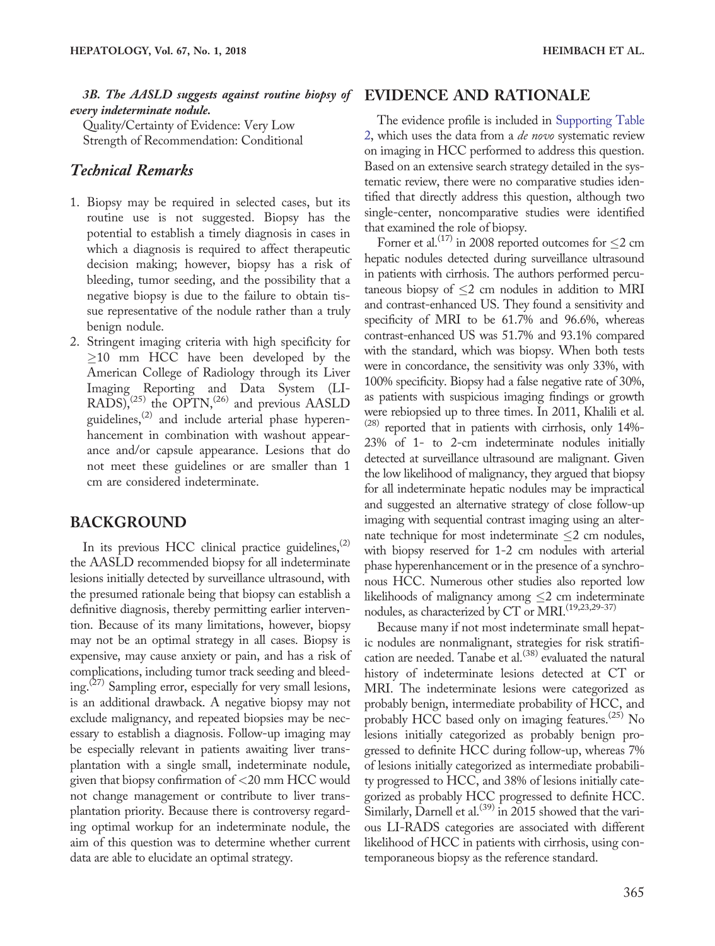3B. The AASLD suggests against routine biopsy of EVIDENCE AND RATIONALE every indeterminate nodule.

Quality/Certainty of Evidence: Very Low Strength of Recommendation: Conditional

#### Technical Remarks

- 1. Biopsy may be required in selected cases, but its routine use is not suggested. Biopsy has the potential to establish a timely diagnosis in cases in which a diagnosis is required to affect therapeutic decision making; however, biopsy has a risk of bleeding, tumor seeding, and the possibility that a negative biopsy is due to the failure to obtain tissue representative of the nodule rather than a truly benign nodule.
- 2. Stringent imaging criteria with high specificity for  $\geq$ 10 mm HCC have been developed by the American College of Radiology through its Liver Imaging Reporting and Data System (LI-RADS), $^{(25)}$  the OPTN, $^{(26)}$  and previous AASLD guidelines,(2) and include arterial phase hyperenhancement in combination with washout appearance and/or capsule appearance. Lesions that do not meet these guidelines or are smaller than 1 cm are considered indeterminate.

#### BACKGROUND

In its previous HCC clinical practice guidelines,  $(2)$ the AASLD recommended biopsy for all indeterminate lesions initially detected by surveillance ultrasound, with the presumed rationale being that biopsy can establish a definitive diagnosis, thereby permitting earlier intervention. Because of its many limitations, however, biopsy may not be an optimal strategy in all cases. Biopsy is expensive, may cause anxiety or pain, and has a risk of complications, including tumor track seeding and bleeding.<sup>(27)</sup> Sampling error, especially for very small lesions, is an additional drawback. A negative biopsy may not exclude malignancy, and repeated biopsies may be necessary to establish a diagnosis. Follow-up imaging may be especially relevant in patients awaiting liver transplantation with a single small, indeterminate nodule, given that biopsy confirmation of <20 mm HCC would not change management or contribute to liver transplantation priority. Because there is controversy regarding optimal workup for an indeterminate nodule, the aim of this question was to determine whether current data are able to elucidate an optimal strategy.

The evidence profile is included in [Supporting Table](http://onlinelibrary.wiley.com/doi/10.1002/hep.29086/suppinfo) [2](http://onlinelibrary.wiley.com/doi/10.1002/hep.29086/suppinfo), which uses the data from a de novo systematic review on imaging in HCC performed to address this question. Based on an extensive search strategy detailed in the systematic review, there were no comparative studies identified that directly address this question, although two single-center, noncomparative studies were identified that examined the role of biopsy.

Forner et al.<sup>(17)</sup> in 2008 reported outcomes for  $\leq$ 2 cm hepatic nodules detected during surveillance ultrasound in patients with cirrhosis. The authors performed percutaneous biopsy of  $\leq$ 2 cm nodules in addition to MRI and contrast-enhanced US. They found a sensitivity and specificity of MRI to be 61.7% and 96.6%, whereas contrast-enhanced US was 51.7% and 93.1% compared with the standard, which was biopsy. When both tests were in concordance, the sensitivity was only 33%, with 100% specificity. Biopsy had a false negative rate of 30%, as patients with suspicious imaging findings or growth were rebiopsied up to three times. In 2011, Khalili et al.  $(28)$  reported that in patients with cirrhosis, only 14%-23% of 1- to 2-cm indeterminate nodules initially detected at surveillance ultrasound are malignant. Given the low likelihood of malignancy, they argued that biopsy for all indeterminate hepatic nodules may be impractical and suggested an alternative strategy of close follow-up imaging with sequential contrast imaging using an alternate technique for most indeterminate  $\leq$  2 cm nodules, with biopsy reserved for 1-2 cm nodules with arterial phase hyperenhancement or in the presence of a synchronous HCC. Numerous other studies also reported low likelihoods of malignancy among  $\leq$  2 cm indeterminate nodules, as characterized by CT or MRI.<sup>(19,23,29-37)</sup>

Because many if not most indeterminate small hepatic nodules are nonmalignant, strategies for risk stratification are needed. Tanabe et al.<sup> $(38)$ </sup> evaluated the natural history of indeterminate lesions detected at CT or MRI. The indeterminate lesions were categorized as probably benign, intermediate probability of HCC, and probably HCC based only on imaging features.<sup>(25)</sup> No lesions initially categorized as probably benign progressed to definite HCC during follow-up, whereas 7% of lesions initially categorized as intermediate probability progressed to HCC, and 38% of lesions initially categorized as probably HCC progressed to definite HCC. Similarly, Darnell et al.<sup>(39)</sup> in 2015 showed that the various LI-RADS categories are associated with different likelihood of HCC in patients with cirrhosis, using contemporaneous biopsy as the reference standard.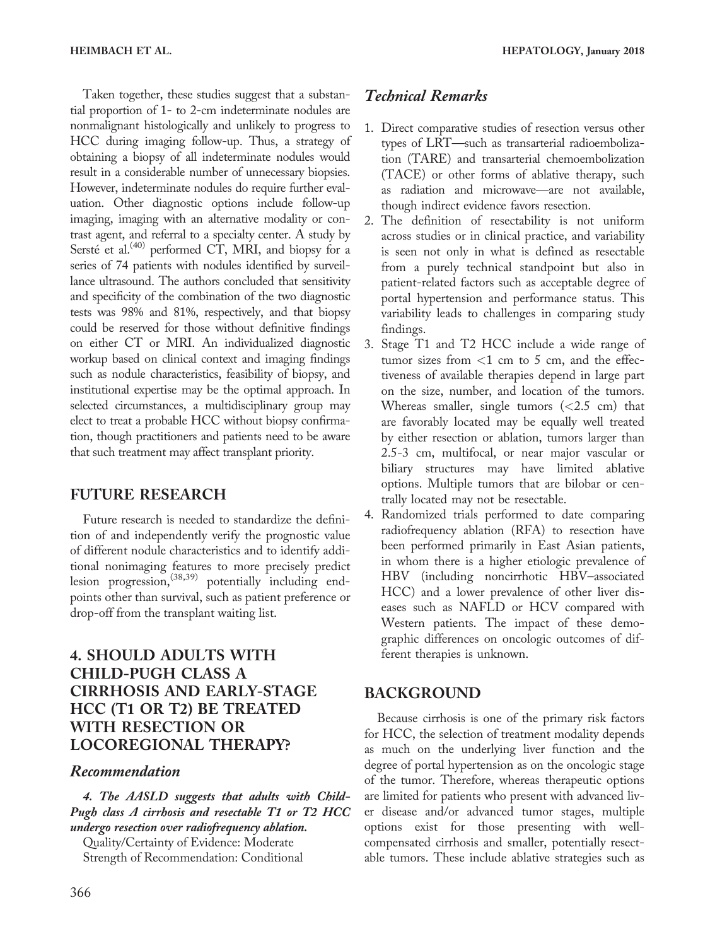Taken together, these studies suggest that a substantial proportion of 1- to 2-cm indeterminate nodules are nonmalignant histologically and unlikely to progress to HCC during imaging follow-up. Thus, a strategy of obtaining a biopsy of all indeterminate nodules would result in a considerable number of unnecessary biopsies. However, indeterminate nodules do require further evaluation. Other diagnostic options include follow-up imaging, imaging with an alternative modality or contrast agent, and referral to a specialty center. A study by Sersté et al.<sup>(40)</sup> performed CT, MRI, and biopsy for a series of 74 patients with nodules identified by surveillance ultrasound. The authors concluded that sensitivity and specificity of the combination of the two diagnostic tests was 98% and 81%, respectively, and that biopsy could be reserved for those without definitive findings on either CT or MRI. An individualized diagnostic workup based on clinical context and imaging findings such as nodule characteristics, feasibility of biopsy, and institutional expertise may be the optimal approach. In selected circumstances, a multidisciplinary group may elect to treat a probable HCC without biopsy confirmation, though practitioners and patients need to be aware that such treatment may affect transplant priority.

# FUTURE RESEARCH

Future research is needed to standardize the definition of and independently verify the prognostic value of different nodule characteristics and to identify additional nonimaging features to more precisely predict lesion progression,<sup>(38,39)</sup> potentially including endpoints other than survival, such as patient preference or drop-off from the transplant waiting list.

# 4. SHOULD ADULTS WITH CHILD-PUGH CLASS A CIRRHOSIS AND EARLY-STAGE HCC (T1 OR T2) BE TREATED WITH RESECTION OR LOCOREGIONAL THERAPY?

#### Recommendation

4. The AASLD suggests that adults with Child-Pugh class A cirrhosis and resectable T1 or T2 HCC undergo resection over radiofrequency ablation.

Quality/Certainty of Evidence: Moderate Strength of Recommendation: Conditional

# Technical Remarks

- 1. Direct comparative studies of resection versus other types of LRT—such as transarterial radioembolization (TARE) and transarterial chemoembolization (TACE) or other forms of ablative therapy, such as radiation and microwave—are not available, though indirect evidence favors resection.
- 2. The definition of resectability is not uniform across studies or in clinical practice, and variability is seen not only in what is defined as resectable from a purely technical standpoint but also in patient-related factors such as acceptable degree of portal hypertension and performance status. This variability leads to challenges in comparing study findings.
- 3. Stage T1 and T2 HCC include a wide range of tumor sizes from  $<$ 1 cm to 5 cm, and the effectiveness of available therapies depend in large part on the size, number, and location of the tumors. Whereas smaller, single tumors  $\langle$  <2.5 cm) that are favorably located may be equally well treated by either resection or ablation, tumors larger than 2.5-3 cm, multifocal, or near major vascular or biliary structures may have limited ablative options. Multiple tumors that are bilobar or centrally located may not be resectable.
- 4. Randomized trials performed to date comparing radiofrequency ablation (RFA) to resection have been performed primarily in East Asian patients, in whom there is a higher etiologic prevalence of HBV (including noncirrhotic HBV–associated HCC) and a lower prevalence of other liver diseases such as NAFLD or HCV compared with Western patients. The impact of these demographic differences on oncologic outcomes of different therapies is unknown.

# BACKGROUND

Because cirrhosis is one of the primary risk factors for HCC, the selection of treatment modality depends as much on the underlying liver function and the degree of portal hypertension as on the oncologic stage of the tumor. Therefore, whereas therapeutic options are limited for patients who present with advanced liver disease and/or advanced tumor stages, multiple options exist for those presenting with wellcompensated cirrhosis and smaller, potentially resectable tumors. These include ablative strategies such as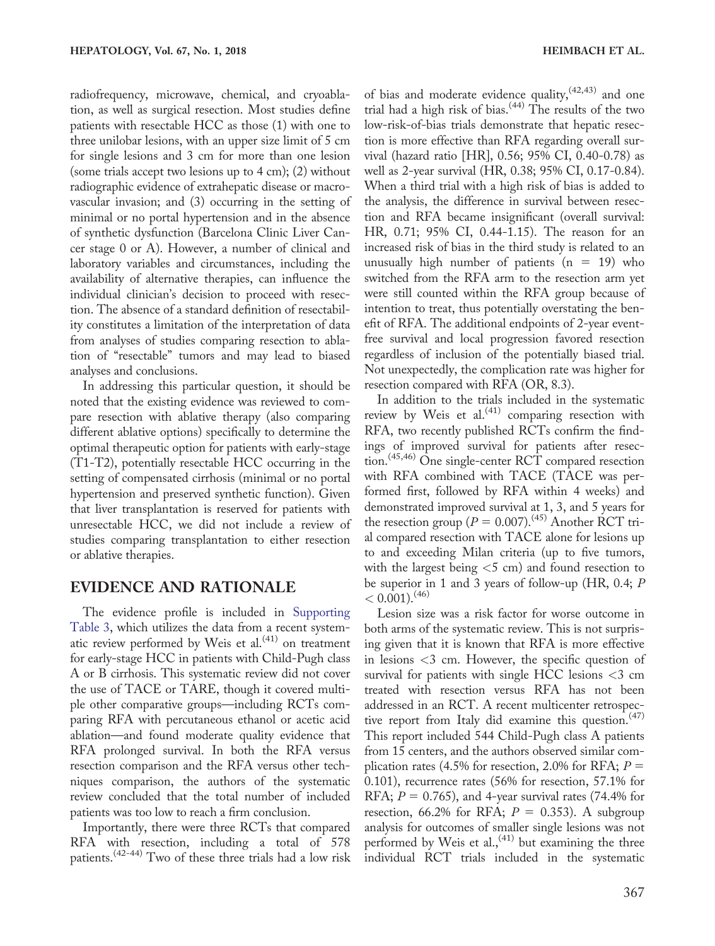radiofrequency, microwave, chemical, and cryoablation, as well as surgical resection. Most studies define patients with resectable HCC as those (1) with one to three unilobar lesions, with an upper size limit of 5 cm for single lesions and 3 cm for more than one lesion (some trials accept two lesions up to 4 cm); (2) without radiographic evidence of extrahepatic disease or macrovascular invasion; and (3) occurring in the setting of minimal or no portal hypertension and in the absence of synthetic dysfunction (Barcelona Clinic Liver Cancer stage 0 or A). However, a number of clinical and laboratory variables and circumstances, including the availability of alternative therapies, can influence the individual clinician's decision to proceed with resection. The absence of a standard definition of resectability constitutes a limitation of the interpretation of data from analyses of studies comparing resection to ablation of "resectable" tumors and may lead to biased analyses and conclusions.

In addressing this particular question, it should be noted that the existing evidence was reviewed to compare resection with ablative therapy (also comparing different ablative options) specifically to determine the optimal therapeutic option for patients with early-stage (T1-T2), potentially resectable HCC occurring in the setting of compensated cirrhosis (minimal or no portal hypertension and preserved synthetic function). Given that liver transplantation is reserved for patients with unresectable HCC, we did not include a review of studies comparing transplantation to either resection or ablative therapies.

#### EVIDENCE AND RATIONALE

The evidence profile is included in [Supporting](http://onlinelibrary.wiley.com/doi/10.1002/hep.29086/suppinfo) [Table 3](http://onlinelibrary.wiley.com/doi/10.1002/hep.29086/suppinfo), which utilizes the data from a recent systematic review performed by Weis et al.<sup>(41)</sup> on treatment for early-stage HCC in patients with Child-Pugh class A or B cirrhosis. This systematic review did not cover the use of TACE or TARE, though it covered multiple other comparative groups—including RCTs comparing RFA with percutaneous ethanol or acetic acid ablation—and found moderate quality evidence that RFA prolonged survival. In both the RFA versus resection comparison and the RFA versus other techniques comparison, the authors of the systematic review concluded that the total number of included patients was too low to reach a firm conclusion.

Importantly, there were three RCTs that compared RFA with resection, including a total of 578 patients.(42-44) Two of these three trials had a low risk of bias and moderate evidence quality,  $(42,43)$  and one trial had a high risk of bias. $(44)$  The results of the two low-risk-of-bias trials demonstrate that hepatic resection is more effective than RFA regarding overall survival (hazard ratio [HR], 0.56; 95% CI, 0.40-0.78) as well as 2-year survival (HR, 0.38; 95% CI, 0.17-0.84). When a third trial with a high risk of bias is added to the analysis, the difference in survival between resection and RFA became insignificant (overall survival: HR, 0.71; 95% CI, 0.44-1.15). The reason for an increased risk of bias in the third study is related to an unusually high number of patients  $(n = 19)$  who switched from the RFA arm to the resection arm yet were still counted within the RFA group because of intention to treat, thus potentially overstating the benefit of RFA. The additional endpoints of 2-year eventfree survival and local progression favored resection regardless of inclusion of the potentially biased trial. Not unexpectedly, the complication rate was higher for resection compared with RFA (OR, 8.3).

In addition to the trials included in the systematic review by Weis et al.<sup>(41)</sup> comparing resection with RFA, two recently published RCTs confirm the findings of improved survival for patients after resection.(45,46) One single-center RCT compared resection with RFA combined with TACE (TACE was performed first, followed by RFA within 4 weeks) and demonstrated improved survival at 1, 3, and 5 years for the resection group ( $P = 0.007$ ).<sup>(45)</sup> Another RCT trial compared resection with TACE alone for lesions up to and exceeding Milan criteria (up to five tumors, with the largest being  $<$  5 cm) and found resection to be superior in 1 and 3 years of follow-up (HR, 0.4; P  $< 0.001$ ).<sup>(46)</sup>

Lesion size was a risk factor for worse outcome in both arms of the systematic review. This is not surprising given that it is known that RFA is more effective in lesions <3 cm. However, the specific question of survival for patients with single HCC lesions  $\langle 3 \rangle$  cm treated with resection versus RFA has not been addressed in an RCT. A recent multicenter retrospective report from Italy did examine this question. $(47)$ This report included 544 Child-Pugh class A patients from 15 centers, and the authors observed similar complication rates (4.5% for resection, 2.0% for RFA;  $P =$ 0.101), recurrence rates (56% for resection, 57.1% for RFA;  $P = 0.765$ ), and 4-year survival rates (74.4% for resection, 66.2% for RFA;  $P = 0.353$ ). A subgroup analysis for outcomes of smaller single lesions was not performed by Weis et al.,  $(41)$  but examining the three individual RCT trials included in the systematic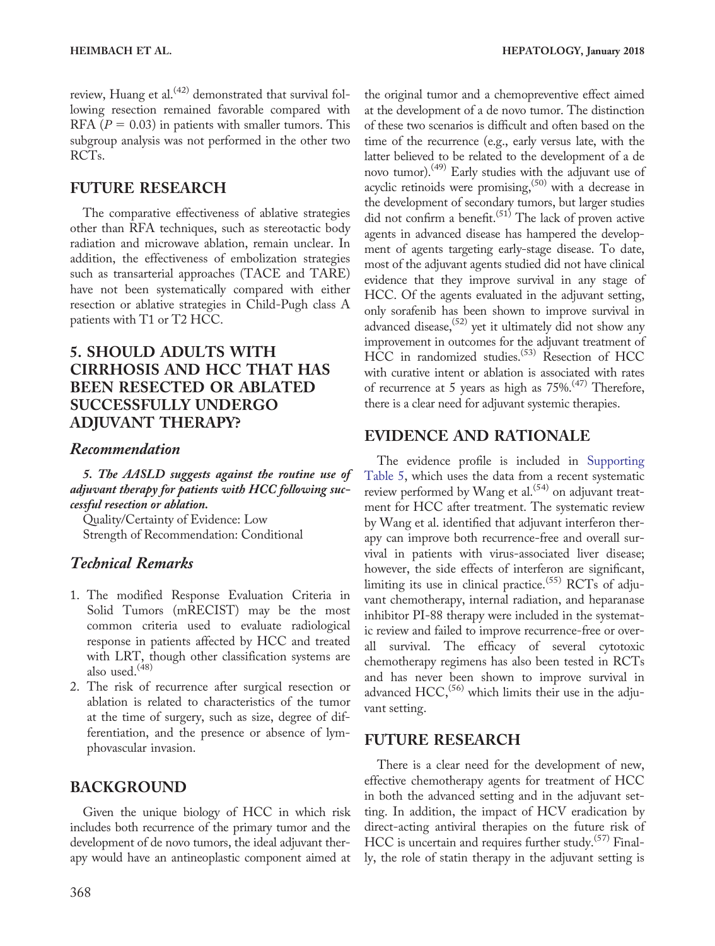review, Huang et al.<sup>(42)</sup> demonstrated that survival following resection remained favorable compared with RFA ( $P = 0.03$ ) in patients with smaller tumors. This subgroup analysis was not performed in the other two RCTs.

# FUTURE RESEARCH

The comparative effectiveness of ablative strategies other than RFA techniques, such as stereotactic body radiation and microwave ablation, remain unclear. In addition, the effectiveness of embolization strategies such as transarterial approaches (TACE and TARE) have not been systematically compared with either resection or ablative strategies in Child-Pugh class A patients with T1 or T2 HCC.

# 5. SHOULD ADULTS WITH CIRRHOSIS AND HCC THAT HAS BEEN RESECTED OR ABLATED SUCCESSFULLY UNDERGO ADJUVANT THERAPY?

#### Recommendation

5. The AASLD suggests against the routine use of adjuvant therapy for patients with HCC following successful resection or ablation.

Quality/Certainty of Evidence: Low Strength of Recommendation: Conditional

# Technical Remarks

- 1. The modified Response Evaluation Criteria in Solid Tumors (mRECIST) may be the most common criteria used to evaluate radiological response in patients affected by HCC and treated with LRT, though other classification systems are also used.<sup>(48)</sup>
- 2. The risk of recurrence after surgical resection or ablation is related to characteristics of the tumor at the time of surgery, such as size, degree of differentiation, and the presence or absence of lymphovascular invasion.

### BACKGROUND

Given the unique biology of HCC in which risk includes both recurrence of the primary tumor and the development of de novo tumors, the ideal adjuvant therapy would have an antineoplastic component aimed at

the original tumor and a chemopreventive effect aimed at the development of a de novo tumor. The distinction of these two scenarios is difficult and often based on the time of the recurrence (e.g., early versus late, with the latter believed to be related to the development of a de novo tumor).<sup>(49)</sup> Early studies with the adjuvant use of acyclic retinoids were promising,<sup>(50)</sup> with a decrease in the development of secondary tumors, but larger studies did not confirm a benefit.<sup> $(51)$ </sup> The lack of proven active agents in advanced disease has hampered the development of agents targeting early-stage disease. To date, most of the adjuvant agents studied did not have clinical evidence that they improve survival in any stage of HCC. Of the agents evaluated in the adjuvant setting, only sorafenib has been shown to improve survival in advanced disease,  $(52)$  yet it ultimately did not show any improvement in outcomes for the adjuvant treatment of HCC in randomized studies.<sup>(53)</sup> Resection of HCC with curative intent or ablation is associated with rates of recurrence at 5 years as high as 75%.(47) Therefore, there is a clear need for adjuvant systemic therapies.

# EVIDENCE AND RATIONALE

The evidence profile is included in [Supporting](http://onlinelibrary.wiley.com/doi/10.1002/hep.29086/suppinfo) [Table 5](http://onlinelibrary.wiley.com/doi/10.1002/hep.29086/suppinfo), which uses the data from a recent systematic review performed by Wang et al.<sup>(54)</sup> on adjuvant treatment for HCC after treatment. The systematic review by Wang et al. identified that adjuvant interferon therapy can improve both recurrence-free and overall survival in patients with virus-associated liver disease; however, the side effects of interferon are significant, limiting its use in clinical practice.<sup>(55)</sup> RCTs of adjuvant chemotherapy, internal radiation, and heparanase inhibitor PI-88 therapy were included in the systematic review and failed to improve recurrence-free or overall survival. The efficacy of several cytotoxic chemotherapy regimens has also been tested in RCTs and has never been shown to improve survival in advanced  $HCC<sub>1</sub><sup>(56)</sup>$  which limits their use in the adjuvant setting.

### FUTURE RESEARCH

There is a clear need for the development of new, effective chemotherapy agents for treatment of HCC in both the advanced setting and in the adjuvant setting. In addition, the impact of HCV eradication by direct-acting antiviral therapies on the future risk of HCC is uncertain and requires further study.<sup>(57)</sup> Finally, the role of statin therapy in the adjuvant setting is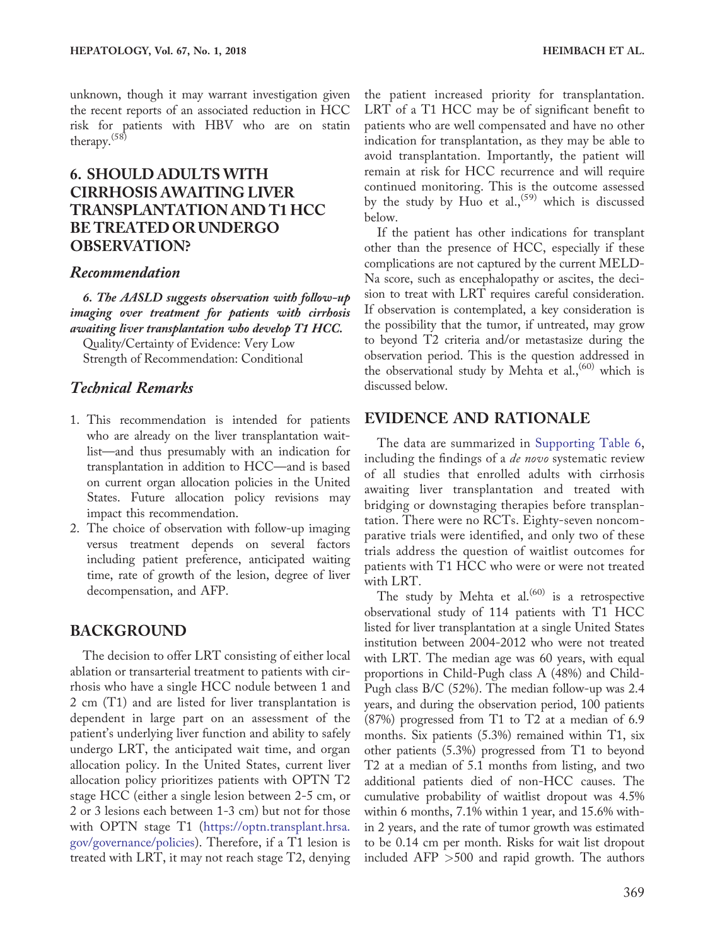unknown, though it may warrant investigation given the recent reports of an associated reduction in HCC risk for patients with HBV who are on statin therapy.(58)

# 6. SHOULD ADULTS WITH CIRRHOSIS AWAITING LIVER TRANSPLANTATION AND T1 HCC BE TREATEDOR UNDERGO OBSERVATION?

#### Recommendation

6. The AASLD suggests observation with follow-up imaging over treatment for patients with cirrhosis awaiting liver transplantation who develop T1 HCC.

Quality/Certainty of Evidence: Very Low Strength of Recommendation: Conditional

#### Technical Remarks

- 1. This recommendation is intended for patients who are already on the liver transplantation waitlist—and thus presumably with an indication for transplantation in addition to HCC—and is based on current organ allocation policies in the United States. Future allocation policy revisions may impact this recommendation.
- 2. The choice of observation with follow-up imaging versus treatment depends on several factors including patient preference, anticipated waiting time, rate of growth of the lesion, degree of liver decompensation, and AFP.

#### BACKGROUND

The decision to offer LRT consisting of either local ablation or transarterial treatment to patients with cirrhosis who have a single HCC nodule between 1 and 2 cm (T1) and are listed for liver transplantation is dependent in large part on an assessment of the patient's underlying liver function and ability to safely undergo LRT, the anticipated wait time, and organ allocation policy. In the United States, current liver allocation policy prioritizes patients with OPTN T2 stage HCC (either a single lesion between 2-5 cm, or 2 or 3 lesions each between 1-3 cm) but not for those with OPTN stage T1 [\(https://optn.transplant.hrsa.](https://optn.transplant.hrsa.gov/governance/policies) [gov/governance/policies\)](https://optn.transplant.hrsa.gov/governance/policies). Therefore, if a T1 lesion is treated with LRT, it may not reach stage T2, denying

the patient increased priority for transplantation. LRT of a T1 HCC may be of significant benefit to patients who are well compensated and have no other indication for transplantation, as they may be able to avoid transplantation. Importantly, the patient will remain at risk for HCC recurrence and will require continued monitoring. This is the outcome assessed by the study by Huo et al.,<sup>(59)</sup> which is discussed below.

If the patient has other indications for transplant other than the presence of HCC, especially if these complications are not captured by the current MELD-Na score, such as encephalopathy or ascites, the decision to treat with LRT requires careful consideration. If observation is contemplated, a key consideration is the possibility that the tumor, if untreated, may grow to beyond T2 criteria and/or metastasize during the observation period. This is the question addressed in the observational study by Mehta et al.,<sup>(60)</sup> which is discussed below.

#### EVIDENCE AND RATIONALE

The data are summarized in [Supporting Table 6](http://onlinelibrary.wiley.com/doi/10.1002/hep.29086/suppinfo), including the findings of a de novo systematic review of all studies that enrolled adults with cirrhosis awaiting liver transplantation and treated with bridging or downstaging therapies before transplantation. There were no RCTs. Eighty-seven noncomparative trials were identified, and only two of these trials address the question of waitlist outcomes for patients with T1 HCC who were or were not treated with LRT.

The study by Mehta et al. $(60)$  is a retrospective observational study of 114 patients with T1 HCC listed for liver transplantation at a single United States institution between 2004-2012 who were not treated with LRT. The median age was 60 years, with equal proportions in Child-Pugh class A (48%) and Child-Pugh class B/C (52%). The median follow-up was 2.4 years, and during the observation period, 100 patients (87%) progressed from T1 to T2 at a median of 6.9 months. Six patients (5.3%) remained within T1, six other patients (5.3%) progressed from T1 to beyond T2 at a median of 5.1 months from listing, and two additional patients died of non-HCC causes. The cumulative probability of waitlist dropout was 4.5% within 6 months, 7.1% within 1 year, and 15.6% within 2 years, and the rate of tumor growth was estimated to be 0.14 cm per month. Risks for wait list dropout included AFP >500 and rapid growth. The authors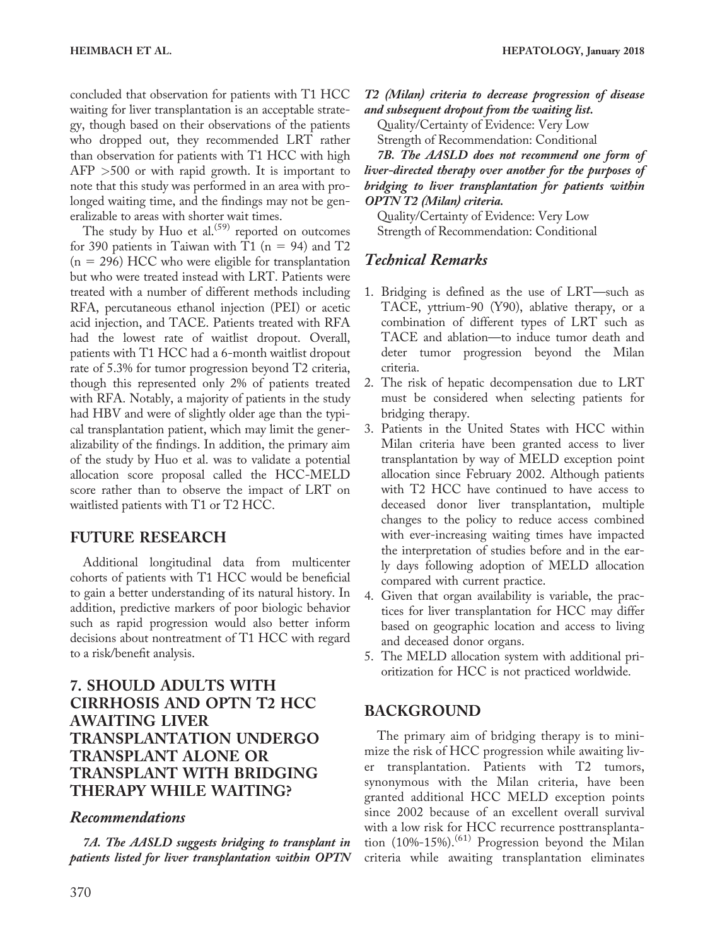concluded that observation for patients with T1 HCC waiting for liver transplantation is an acceptable strategy, though based on their observations of the patients who dropped out, they recommended LRT rather than observation for patients with T1 HCC with high AFP >500 or with rapid growth. It is important to note that this study was performed in an area with prolonged waiting time, and the findings may not be generalizable to areas with shorter wait times.

The study by Huo et al. $(59)$  reported on outcomes for 390 patients in Taiwan with T1 ( $n = 94$ ) and T2  $(n = 296)$  HCC who were eligible for transplantation but who were treated instead with LRT. Patients were treated with a number of different methods including RFA, percutaneous ethanol injection (PEI) or acetic acid injection, and TACE. Patients treated with RFA had the lowest rate of waitlist dropout. Overall, patients with T1 HCC had a 6-month waitlist dropout rate of 5.3% for tumor progression beyond T2 criteria, though this represented only 2% of patients treated with RFA. Notably, a majority of patients in the study had HBV and were of slightly older age than the typical transplantation patient, which may limit the generalizability of the findings. In addition, the primary aim of the study by Huo et al. was to validate a potential allocation score proposal called the HCC-MELD score rather than to observe the impact of LRT on waitlisted patients with T1 or T2 HCC.

### FUTURE RESEARCH

Additional longitudinal data from multicenter cohorts of patients with T1 HCC would be beneficial to gain a better understanding of its natural history. In addition, predictive markers of poor biologic behavior such as rapid progression would also better inform decisions about nontreatment of T1 HCC with regard to a risk/benefit analysis.

# 7. SHOULD ADULTS WITH CIRRHOSIS AND OPTN T2 HCC AWAITING LIVER TRANSPLANTATION UNDERGO TRANSPLANT ALONE OR TRANSPLANT WITH BRIDGING THERAPY WHILE WAITING?

#### Recommendations

7A. The AASLD suggests bridging to transplant in patients listed for liver transplantation within OPTN T2 (Milan) criteria to decrease progression of disease and subsequent dropout from the waiting list.

Quality/Certainty of Evidence: Very Low Strength of Recommendation: Conditional

7B. The AASLD does not recommend one form of liver-directed therapy over another for the purposes of bridging to liver transplantation for patients within OPTN T2 (Milan) criteria.

Quality/Certainty of Evidence: Very Low Strength of Recommendation: Conditional

# Technical Remarks

- 1. Bridging is defined as the use of LRT—such as TACE, yttrium-90 (Y90), ablative therapy, or a combination of different types of LRT such as TACE and ablation—to induce tumor death and deter tumor progression beyond the Milan criteria.
- 2. The risk of hepatic decompensation due to LRT must be considered when selecting patients for bridging therapy.
- 3. Patients in the United States with HCC within Milan criteria have been granted access to liver transplantation by way of MELD exception point allocation since February 2002. Although patients with T2 HCC have continued to have access to deceased donor liver transplantation, multiple changes to the policy to reduce access combined with ever-increasing waiting times have impacted the interpretation of studies before and in the early days following adoption of MELD allocation compared with current practice.
- 4. Given that organ availability is variable, the practices for liver transplantation for HCC may differ based on geographic location and access to living and deceased donor organs.
- 5. The MELD allocation system with additional prioritization for HCC is not practiced worldwide.

### BACKGROUND

The primary aim of bridging therapy is to minimize the risk of HCC progression while awaiting liver transplantation. Patients with T2 tumors, synonymous with the Milan criteria, have been granted additional HCC MELD exception points since 2002 because of an excellent overall survival with a low risk for HCC recurrence posttransplantation  $(10\% - 15\%)$ .<sup>(61)</sup> Progression beyond the Milan criteria while awaiting transplantation eliminates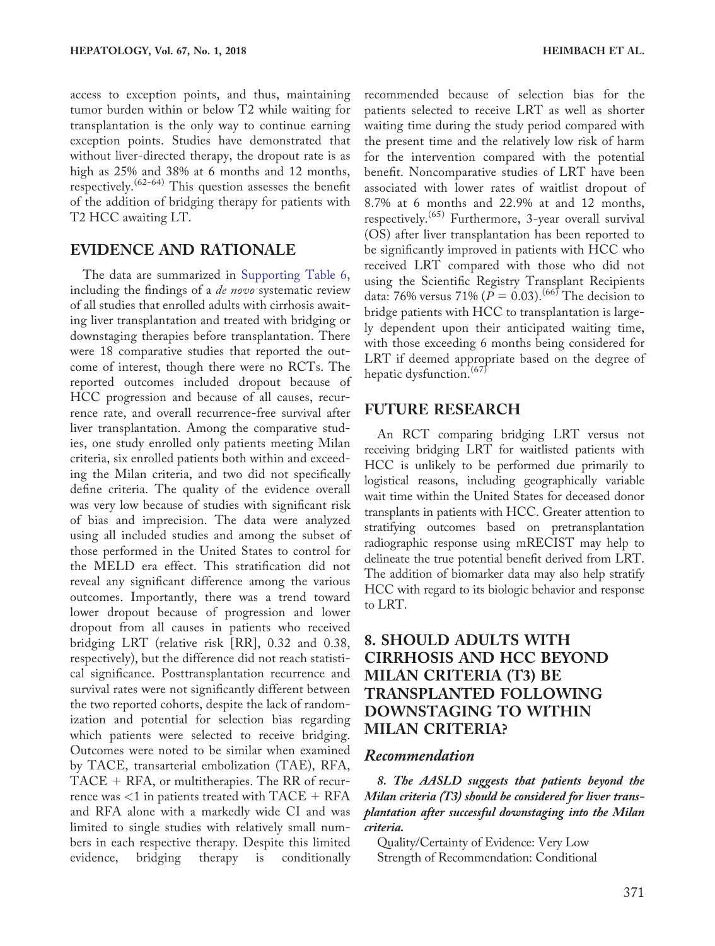access to exception points, and thus, maintaining tumor burden within or below T2 while waiting for transplantation is the only way to continue earning exception points. Studies have demonstrated that without liver-directed therapy, the dropout rate is as high as 25% and 38% at 6 months and 12 months, respectively.<sup> $(62-64)$ </sup> This question assesses the benefit of the addition of bridging therapy for patients with T2 HCC awaiting LT.

#### EVIDENCE AND RATIONALE

The data are summarized in [Supporting Table 6](http://onlinelibrary.wiley.com/doi/10.1002/hep.29086/suppinfo), including the findings of a *de novo* systematic review of all studies that enrolled adults with cirrhosis awaiting liver transplantation and treated with bridging or downstaging therapies before transplantation. There were 18 comparative studies that reported the outcome of interest, though there were no RCTs. The reported outcomes included dropout because of HCC progression and because of all causes, recurrence rate, and overall recurrence-free survival after liver transplantation. Among the comparative studies, one study enrolled only patients meeting Milan criteria, six enrolled patients both within and exceeding the Milan criteria, and two did not specifically define criteria. The quality of the evidence overall was very low because of studies with significant risk of bias and imprecision. The data were analyzed using all included studies and among the subset of those performed in the United States to control for the MELD era effect. This stratification did not reveal any significant difference among the various outcomes. Importantly, there was a trend toward lower dropout because of progression and lower dropout from all causes in patients who received bridging LRT (relative risk [RR], 0.32 and 0.38, respectively), but the difference did not reach statistical significance. Posttransplantation recurrence and survival rates were not significantly different between the two reported cohorts, despite the lack of randomization and potential for selection bias regarding which patients were selected to receive bridging. Outcomes were noted to be similar when examined by TACE, transarterial embolization (TAE), RFA,  $TACE + RFA$ , or multitherapies. The RR of recurrence was  $<$ 1 in patients treated with  $TACE + RFA$ and RFA alone with a markedly wide CI and was limited to single studies with relatively small numbers in each respective therapy. Despite this limited evidence, bridging therapy is conditionally

recommended because of selection bias for the patients selected to receive LRT as well as shorter waiting time during the study period compared with the present time and the relatively low risk of harm for the intervention compared with the potential benefit. Noncomparative studies of LRT have been associated with lower rates of waitlist dropout of 8.7% at 6 months and 22.9% at and 12 months, respectively.<sup>(65)</sup> Furthermore, 3-year overall survival (OS) after liver transplantation has been reported to be significantly improved in patients with HCC who received LRT compared with those who did not using the Scientific Registry Transplant Recipients data: 76% versus 71% ( $P = 0.03$ ).<sup>(66)</sup> The decision to bridge patients with HCC to transplantation is largely dependent upon their anticipated waiting time, with those exceeding 6 months being considered for LRT if deemed appropriate based on the degree of hepatic dysfunction.<sup>(67)</sup>

#### FUTURE RESEARCH

An RCT comparing bridging LRT versus not receiving bridging LRT for waitlisted patients with HCC is unlikely to be performed due primarily to logistical reasons, including geographically variable wait time within the United States for deceased donor transplants in patients with HCC. Greater attention to stratifying outcomes based on pretransplantation radiographic response using mRECIST may help to delineate the true potential benefit derived from LRT. The addition of biomarker data may also help stratify HCC with regard to its biologic behavior and response to LRT.

# 8. SHOULD ADULTS WITH CIRRHOSIS AND HCC BEYOND MILAN CRITERIA (T3) BE TRANSPLANTED FOLLOWING DOWNSTAGING TO WITHIN MILAN CRITERIA?

#### Recommendation

8. The AASLD suggests that patients beyond the Milan criteria (T3) should be considered for liver transplantation after successful downstaging into the Milan criteria.

Quality/Certainty of Evidence: Very Low Strength of Recommendation: Conditional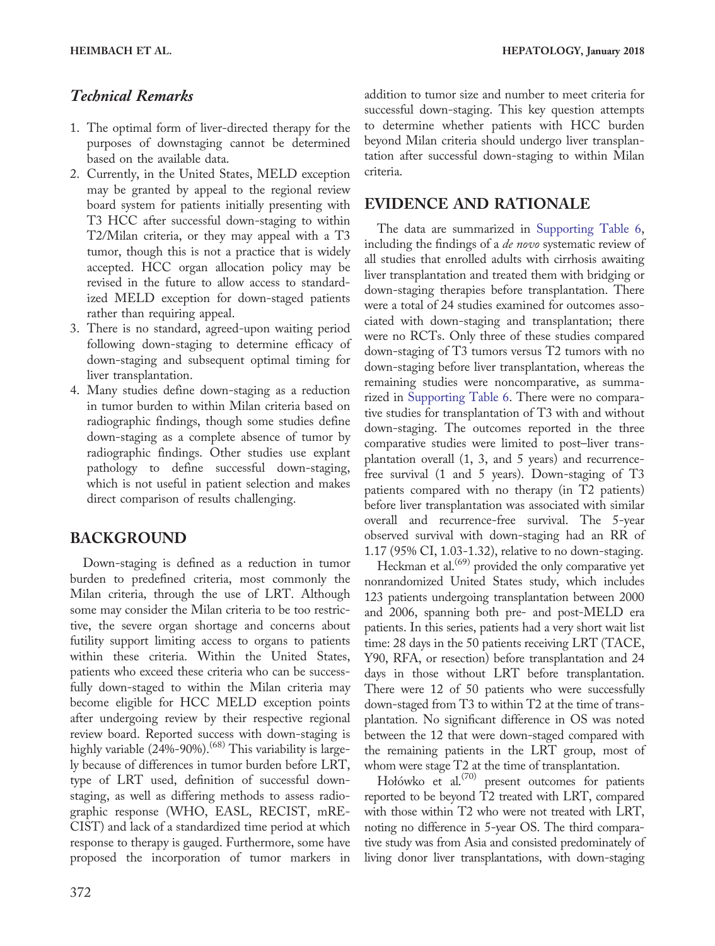# Technical Remarks

- 1. The optimal form of liver-directed therapy for the purposes of downstaging cannot be determined based on the available data.
- 2. Currently, in the United States, MELD exception may be granted by appeal to the regional review board system for patients initially presenting with T3 HCC after successful down-staging to within T2/Milan criteria, or they may appeal with a T3 tumor, though this is not a practice that is widely accepted. HCC organ allocation policy may be revised in the future to allow access to standardized MELD exception for down-staged patients rather than requiring appeal.
- 3. There is no standard, agreed-upon waiting period following down-staging to determine efficacy of down-staging and subsequent optimal timing for liver transplantation.
- 4. Many studies define down-staging as a reduction in tumor burden to within Milan criteria based on radiographic findings, though some studies define down-staging as a complete absence of tumor by radiographic findings. Other studies use explant pathology to define successful down-staging, which is not useful in patient selection and makes direct comparison of results challenging.

# BACKGROUND

Down-staging is defined as a reduction in tumor burden to predefined criteria, most commonly the Milan criteria, through the use of LRT. Although some may consider the Milan criteria to be too restrictive, the severe organ shortage and concerns about futility support limiting access to organs to patients within these criteria. Within the United States, patients who exceed these criteria who can be successfully down-staged to within the Milan criteria may become eligible for HCC MELD exception points after undergoing review by their respective regional review board. Reported success with down-staging is highly variable  $(24\% - 90\%)$ .<sup> $(68)$ </sup> This variability is largely because of differences in tumor burden before LRT, type of LRT used, definition of successful downstaging, as well as differing methods to assess radiographic response (WHO, EASL, RECIST, mRE-CIST) and lack of a standardized time period at which response to therapy is gauged. Furthermore, some have proposed the incorporation of tumor markers in

# EVIDENCE AND RATIONALE

The data are summarized in [Supporting Table 6](http://onlinelibrary.wiley.com/doi/10.1002/hep.29086/suppinfo), including the findings of a *de novo* systematic review of all studies that enrolled adults with cirrhosis awaiting liver transplantation and treated them with bridging or down-staging therapies before transplantation. There were a total of 24 studies examined for outcomes associated with down-staging and transplantation; there were no RCTs. Only three of these studies compared down-staging of T3 tumors versus T2 tumors with no down-staging before liver transplantation, whereas the remaining studies were noncomparative, as summarized in [Supporting Table 6.](http://onlinelibrary.wiley.com/doi/10.1002/hep.29086/suppinfo) There were no comparative studies for transplantation of T3 with and without down-staging. The outcomes reported in the three comparative studies were limited to post–liver transplantation overall (1, 3, and 5 years) and recurrencefree survival (1 and 5 years). Down-staging of T3 patients compared with no therapy (in T2 patients) before liver transplantation was associated with similar overall and recurrence-free survival. The 5-year observed survival with down-staging had an RR of 1.17 (95% CI, 1.03-1.32), relative to no down-staging.

Heckman et al. $(69)$  provided the only comparative yet nonrandomized United States study, which includes 123 patients undergoing transplantation between 2000 and 2006, spanning both pre- and post-MELD era patients. In this series, patients had a very short wait list time: 28 days in the 50 patients receiving LRT (TACE, Y90, RFA, or resection) before transplantation and 24 days in those without LRT before transplantation. There were 12 of 50 patients who were successfully down-staged from T3 to within T2 at the time of transplantation. No significant difference in OS was noted between the 12 that were down-staged compared with the remaining patients in the LRT group, most of whom were stage T2 at the time of transplantation.

Hołówko et al.<sup>(70)</sup> present outcomes for patients reported to be beyond T2 treated with LRT, compared with those within T2 who were not treated with LRT, noting no difference in 5-year OS. The third comparative study was from Asia and consisted predominately of living donor liver transplantations, with down-staging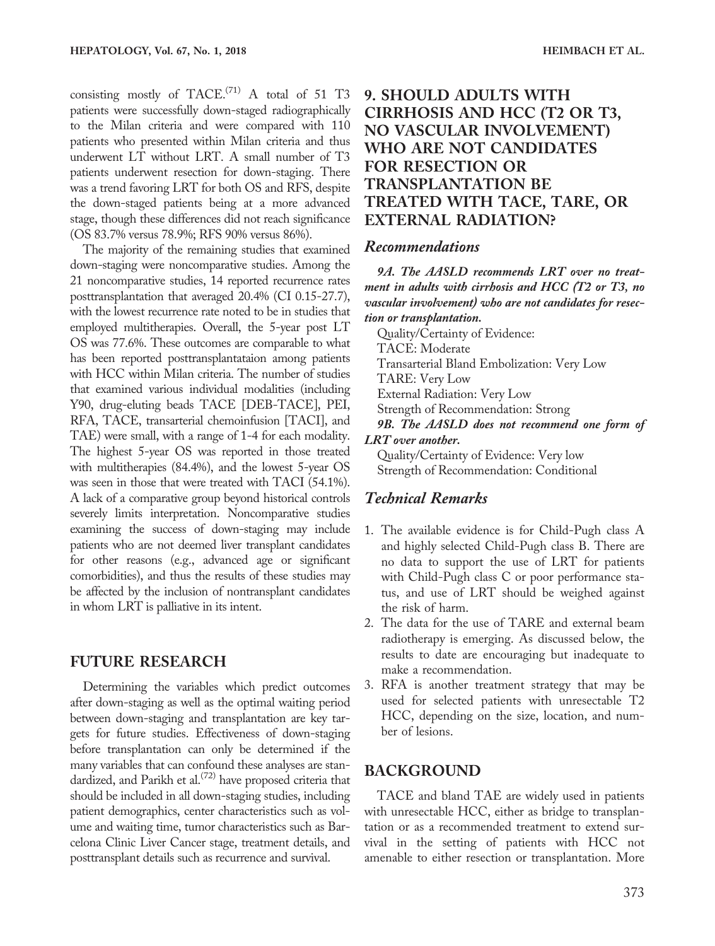consisting mostly of TACE.<sup>(71)</sup> A total of 51 T3 patients were successfully down-staged radiographically to the Milan criteria and were compared with 110 patients who presented within Milan criteria and thus underwent LT without LRT. A small number of T3 patients underwent resection for down-staging. There was a trend favoring LRT for both OS and RFS, despite the down-staged patients being at a more advanced stage, though these differences did not reach significance (OS 83.7% versus 78.9%; RFS 90% versus 86%).

The majority of the remaining studies that examined down-staging were noncomparative studies. Among the 21 noncomparative studies, 14 reported recurrence rates posttransplantation that averaged 20.4% (CI 0.15-27.7), with the lowest recurrence rate noted to be in studies that employed multitherapies. Overall, the 5-year post LT OS was 77.6%. These outcomes are comparable to what has been reported posttransplantataion among patients with HCC within Milan criteria. The number of studies that examined various individual modalities (including Y90, drug-eluting beads TACE [DEB-TACE], PEI, RFA, TACE, transarterial chemoinfusion [TACI], and TAE) were small, with a range of 1-4 for each modality. The highest 5-year OS was reported in those treated with multitherapies (84.4%), and the lowest 5-year OS was seen in those that were treated with TACI (54.1%). A lack of a comparative group beyond historical controls severely limits interpretation. Noncomparative studies examining the success of down-staging may include patients who are not deemed liver transplant candidates for other reasons (e.g., advanced age or significant comorbidities), and thus the results of these studies may be affected by the inclusion of nontransplant candidates in whom LRT is palliative in its intent.

#### FUTURE RESEARCH

Determining the variables which predict outcomes after down-staging as well as the optimal waiting period between down-staging and transplantation are key targets for future studies. Effectiveness of down-staging before transplantation can only be determined if the many variables that can confound these analyses are standardized, and Parikh et al.<sup> $(72)$ </sup> have proposed criteria that should be included in all down-staging studies, including patient demographics, center characteristics such as volume and waiting time, tumor characteristics such as Barcelona Clinic Liver Cancer stage, treatment details, and posttransplant details such as recurrence and survival.

# 9. SHOULD ADULTS WITH CIRRHOSIS AND HCC (T2 OR T3, NO VASCULAR INVOLVEMENT) WHO ARE NOT CANDIDATES FOR RESECTION OR TRANSPLANTATION BE TREATED WITH TACE, TARE, OR EXTERNAL RADIATION?

#### Recommendations

9A. The AASLD recommends LRT over no treatment in adults with cirrhosis and HCC (T2 or T3, no vascular involvement) who are not candidates for resection or transplantation.

Quality/Certainty of Evidence: TACE: Moderate Transarterial Bland Embolization: Very Low TARE: Very Low External Radiation: Very Low Strength of Recommendation: Strong 9B. The AASLD does not recommend one form of LRT over another. Quality/Certainty of Evidence: Very low

Strength of Recommendation: Conditional

### Technical Remarks

- 1. The available evidence is for Child-Pugh class A and highly selected Child-Pugh class B. There are no data to support the use of LRT for patients with Child-Pugh class C or poor performance status, and use of LRT should be weighed against the risk of harm.
- 2. The data for the use of TARE and external beam radiotherapy is emerging. As discussed below, the results to date are encouraging but inadequate to make a recommendation.
- 3. RFA is another treatment strategy that may be used for selected patients with unresectable T2 HCC, depending on the size, location, and number of lesions.

#### BACKGROUND

TACE and bland TAE are widely used in patients with unresectable HCC, either as bridge to transplantation or as a recommended treatment to extend survival in the setting of patients with HCC not amenable to either resection or transplantation. More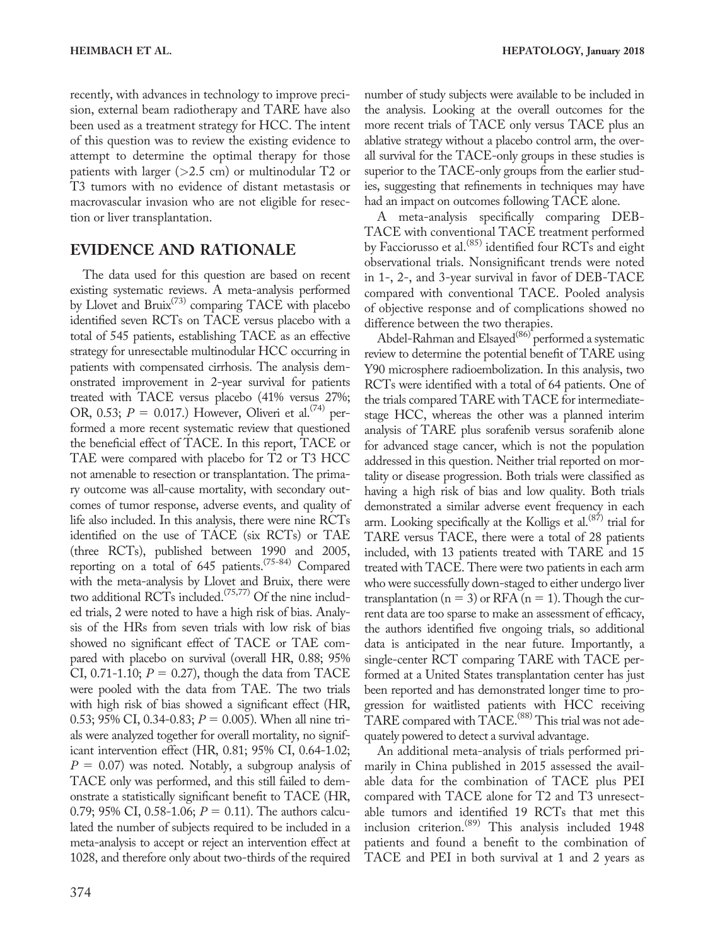recently, with advances in technology to improve precision, external beam radiotherapy and TARE have also been used as a treatment strategy for HCC. The intent of this question was to review the existing evidence to attempt to determine the optimal therapy for those patients with larger ( $>2.5$  cm) or multinodular T2 or T3 tumors with no evidence of distant metastasis or macrovascular invasion who are not eligible for resection or liver transplantation.

# EVIDENCE AND RATIONALE

The data used for this question are based on recent existing systematic reviews. A meta-analysis performed by Llovet and  $Bruix^{(73)}$  comparing TACE with placebo identified seven RCTs on TACE versus placebo with a total of 545 patients, establishing TACE as an effective strategy for unresectable multinodular HCC occurring in patients with compensated cirrhosis. The analysis demonstrated improvement in 2-year survival for patients treated with TACE versus placebo (41% versus 27%; OR, 0.53;  $P = 0.017$ .) However, Oliveri et al.<sup>(74)</sup> performed a more recent systematic review that questioned the beneficial effect of TACE. In this report, TACE or TAE were compared with placebo for T2 or T3 HCC not amenable to resection or transplantation. The primary outcome was all-cause mortality, with secondary outcomes of tumor response, adverse events, and quality of life also included. In this analysis, there were nine RCTs identified on the use of TACE (six RCTs) or TAE (three RCTs), published between 1990 and 2005, reporting on a total of 645 patients.(75-84) Compared with the meta-analysis by Llovet and Bruix, there were two additional RCTs included.<sup>(75,77)</sup> Of the nine included trials, 2 were noted to have a high risk of bias. Analysis of the HRs from seven trials with low risk of bias showed no significant effect of TACE or TAE compared with placebo on survival (overall HR, 0.88; 95% CI, 0.71-1.10;  $P = 0.27$ ), though the data from TACE were pooled with the data from TAE. The two trials with high risk of bias showed a significant effect (HR, 0.53; 95% CI, 0.34-0.83;  $P = 0.005$ ). When all nine trials were analyzed together for overall mortality, no significant intervention effect (HR, 0.81; 95% CI, 0.64-1.02;  $P = 0.07$ ) was noted. Notably, a subgroup analysis of TACE only was performed, and this still failed to demonstrate a statistically significant benefit to TACE (HR, 0.79; 95% CI, 0.58-1.06;  $P = 0.11$ ). The authors calculated the number of subjects required to be included in a meta-analysis to accept or reject an intervention effect at 1028, and therefore only about two-thirds of the required

number of study subjects were available to be included in the analysis. Looking at the overall outcomes for the more recent trials of TACE only versus TACE plus an ablative strategy without a placebo control arm, the overall survival for the TACE-only groups in these studies is superior to the TACE-only groups from the earlier studies, suggesting that refinements in techniques may have had an impact on outcomes following TACE alone.

A meta-analysis specifically comparing DEB-TACE with conventional TACE treatment performed by Facciorusso et al.<sup>(85)</sup> identified four RCTs and eight observational trials. Nonsignificant trends were noted in 1-, 2-, and 3-year survival in favor of DEB-TACE compared with conventional TACE. Pooled analysis of objective response and of complications showed no difference between the two therapies.

Abdel-Rahman and Elsayed<sup>(86)</sup> performed a systematic review to determine the potential benefit of TARE using Y90 microsphere radioembolization. In this analysis, two RCTs were identified with a total of 64 patients. One of the trials compared TARE with TACE for intermediatestage HCC, whereas the other was a planned interim analysis of TARE plus sorafenib versus sorafenib alone for advanced stage cancer, which is not the population addressed in this question. Neither trial reported on mortality or disease progression. Both trials were classified as having a high risk of bias and low quality. Both trials demonstrated a similar adverse event frequency in each arm. Looking specifically at the Kolligs et al. $(87)$  trial for TARE versus TACE, there were a total of 28 patients included, with 13 patients treated with TARE and 15 treated with TACE. There were two patients in each arm who were successfully down-staged to either undergo liver transplantation ( $n = 3$ ) or RFA ( $n = 1$ ). Though the current data are too sparse to make an assessment of efficacy, the authors identified five ongoing trials, so additional data is anticipated in the near future. Importantly, a single-center RCT comparing TARE with TACE performed at a United States transplantation center has just been reported and has demonstrated longer time to progression for waitlisted patients with HCC receiving TARE compared with TACE.<sup>(88)</sup> This trial was not adequately powered to detect a survival advantage.

An additional meta-analysis of trials performed primarily in China published in 2015 assessed the available data for the combination of TACE plus PEI compared with TACE alone for T2 and T3 unresectable tumors and identified 19 RCTs that met this inclusion criterion.(89) This analysis included 1948 patients and found a benefit to the combination of TACE and PEI in both survival at 1 and 2 years as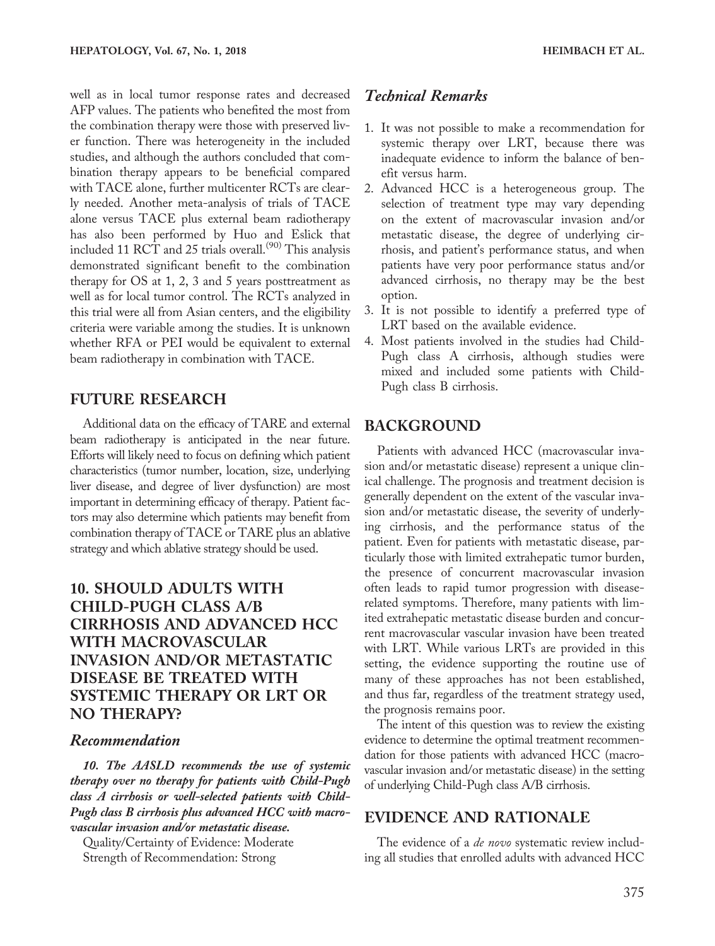well as in local tumor response rates and decreased AFP values. The patients who benefited the most from the combination therapy were those with preserved liver function. There was heterogeneity in the included studies, and although the authors concluded that combination therapy appears to be beneficial compared with TACE alone, further multicenter RCTs are clearly needed. Another meta-analysis of trials of TACE alone versus TACE plus external beam radiotherapy has also been performed by Huo and Eslick that included 11 RCT and 25 trials overall.<sup> $(90)$ </sup> This analysis demonstrated significant benefit to the combination therapy for OS at 1, 2, 3 and 5 years posttreatment as well as for local tumor control. The RCTs analyzed in this trial were all from Asian centers, and the eligibility criteria were variable among the studies. It is unknown whether RFA or PEI would be equivalent to external beam radiotherapy in combination with TACE.

#### FUTURE RESEARCH

Additional data on the efficacy of TARE and external beam radiotherapy is anticipated in the near future. Efforts will likely need to focus on defining which patient characteristics (tumor number, location, size, underlying liver disease, and degree of liver dysfunction) are most important in determining efficacy of therapy. Patient factors may also determine which patients may benefit from combination therapy of TACE or TARE plus an ablative strategy and which ablative strategy should be used.

# 10. SHOULD ADULTS WITH CHILD-PUGH CLASS A/B CIRRHOSIS AND ADVANCED HCC WITH MACROVASCULAR INVASION AND/OR METASTATIC DISEASE BE TREATED WITH SYSTEMIC THERAPY OR LRT OR NO THERAPY?

#### Recommendation

10. The AASLD recommends the use of systemic therapy over no therapy for patients with Child-Pugh class A cirrhosis or well-selected patients with Child-Pugh class B cirrhosis plus advanced HCC with macrovascular invasion and/or metastatic disease.

Quality/Certainty of Evidence: Moderate Strength of Recommendation: Strong

# Technical Remarks

- 1. It was not possible to make a recommendation for systemic therapy over LRT, because there was inadequate evidence to inform the balance of benefit versus harm.
- 2. Advanced HCC is a heterogeneous group. The selection of treatment type may vary depending on the extent of macrovascular invasion and/or metastatic disease, the degree of underlying cirrhosis, and patient's performance status, and when patients have very poor performance status and/or advanced cirrhosis, no therapy may be the best option.
- 3. It is not possible to identify a preferred type of LRT based on the available evidence.
- 4. Most patients involved in the studies had Child-Pugh class A cirrhosis, although studies were mixed and included some patients with Child-Pugh class B cirrhosis.

### BACKGROUND

Patients with advanced HCC (macrovascular invasion and/or metastatic disease) represent a unique clinical challenge. The prognosis and treatment decision is generally dependent on the extent of the vascular invasion and/or metastatic disease, the severity of underlying cirrhosis, and the performance status of the patient. Even for patients with metastatic disease, particularly those with limited extrahepatic tumor burden, the presence of concurrent macrovascular invasion often leads to rapid tumor progression with diseaserelated symptoms. Therefore, many patients with limited extrahepatic metastatic disease burden and concurrent macrovascular vascular invasion have been treated with LRT. While various LRTs are provided in this setting, the evidence supporting the routine use of many of these approaches has not been established, and thus far, regardless of the treatment strategy used, the prognosis remains poor.

The intent of this question was to review the existing evidence to determine the optimal treatment recommendation for those patients with advanced HCC (macrovascular invasion and/or metastatic disease) in the setting of underlying Child-Pugh class A/B cirrhosis.

#### EVIDENCE AND RATIONALE

The evidence of a *de novo* systematic review including all studies that enrolled adults with advanced HCC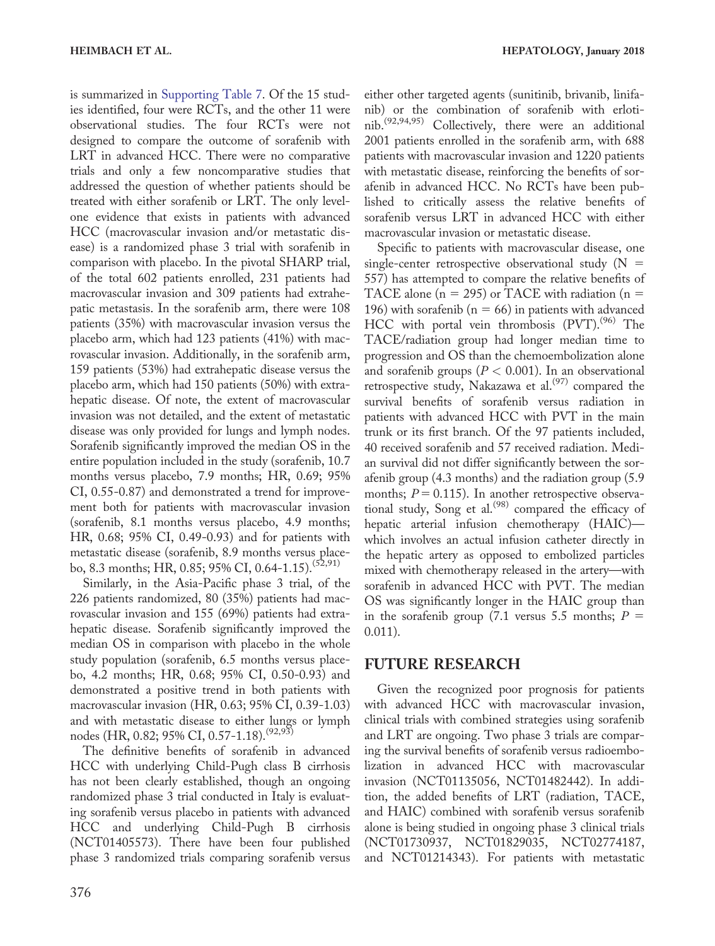is summarized in [Supporting Table 7](http://onlinelibrary.wiley.com/doi/10.1002/hep.29086/suppinfo). Of the 15 studies identified, four were RCTs, and the other 11 were observational studies. The four RCTs were not designed to compare the outcome of sorafenib with LRT in advanced HCC. There were no comparative trials and only a few noncomparative studies that addressed the question of whether patients should be treated with either sorafenib or LRT. The only levelone evidence that exists in patients with advanced HCC (macrovascular invasion and/or metastatic disease) is a randomized phase 3 trial with sorafenib in comparison with placebo. In the pivotal SHARP trial, of the total 602 patients enrolled, 231 patients had macrovascular invasion and 309 patients had extrahepatic metastasis. In the sorafenib arm, there were 108 patients (35%) with macrovascular invasion versus the placebo arm, which had 123 patients (41%) with macrovascular invasion. Additionally, in the sorafenib arm, 159 patients (53%) had extrahepatic disease versus the placebo arm, which had 150 patients (50%) with extrahepatic disease. Of note, the extent of macrovascular invasion was not detailed, and the extent of metastatic disease was only provided for lungs and lymph nodes. Sorafenib significantly improved the median OS in the entire population included in the study (sorafenib, 10.7 months versus placebo, 7.9 months; HR, 0.69; 95% CI, 0.55-0.87) and demonstrated a trend for improvement both for patients with macrovascular invasion (sorafenib, 8.1 months versus placebo, 4.9 months; HR, 0.68; 95% CI, 0.49-0.93) and for patients with metastatic disease (sorafenib, 8.9 months versus placebo, 8.3 months; HR, 0.85; 95% CI, 0.64-1.15).<sup>(52,91)</sup>

Similarly, in the Asia-Pacific phase 3 trial, of the 226 patients randomized, 80 (35%) patients had macrovascular invasion and 155 (69%) patients had extrahepatic disease. Sorafenib significantly improved the median OS in comparison with placebo in the whole study population (sorafenib, 6.5 months versus placebo, 4.2 months; HR, 0.68; 95% CI, 0.50-0.93) and demonstrated a positive trend in both patients with macrovascular invasion (HR, 0.63; 95% CI, 0.39-1.03) and with metastatic disease to either lungs or lymph nodes (HR, 0.82; 95% CI, 0.57-1.18).<sup>(92,93)</sup>

The definitive benefits of sorafenib in advanced HCC with underlying Child-Pugh class B cirrhosis has not been clearly established, though an ongoing randomized phase 3 trial conducted in Italy is evaluating sorafenib versus placebo in patients with advanced HCC and underlying Child-Pugh B cirrhosis (NCT01405573). There have been four published phase 3 randomized trials comparing sorafenib versus

either other targeted agents (sunitinib, brivanib, linifanib) or the combination of sorafenib with erlotinib.(92,94,95) Collectively, there were an additional 2001 patients enrolled in the sorafenib arm, with 688 patients with macrovascular invasion and 1220 patients with metastatic disease, reinforcing the benefits of sorafenib in advanced HCC. No RCTs have been published to critically assess the relative benefits of sorafenib versus LRT in advanced HCC with either macrovascular invasion or metastatic disease.

Specific to patients with macrovascular disease, one single-center retrospective observational study  $(N =$ 557) has attempted to compare the relative benefits of TACE alone ( $n = 295$ ) or TACE with radiation ( $n =$ 196) with sorafenib ( $n = 66$ ) in patients with advanced HCC with portal vein thrombosis (PVT).<sup>(96)</sup> The TACE/radiation group had longer median time to progression and OS than the chemoembolization alone and sorafenib groups ( $P < 0.001$ ). In an observational retrospective study, Nakazawa et al.<sup>(97)</sup> compared the survival benefits of sorafenib versus radiation in patients with advanced HCC with PVT in the main trunk or its first branch. Of the 97 patients included, 40 received sorafenib and 57 received radiation. Median survival did not differ significantly between the sorafenib group (4.3 months) and the radiation group (5.9 months;  $P = 0.115$ ). In another retrospective observational study, Song et al.<sup>(98)</sup> compared the efficacy of hepatic arterial infusion chemotherapy (HAIC) which involves an actual infusion catheter directly in the hepatic artery as opposed to embolized particles mixed with chemotherapy released in the artery—with sorafenib in advanced HCC with PVT. The median OS was significantly longer in the HAIC group than in the sorafenib group (7.1 versus 5.5 months;  $P =$ 0.011).

#### FUTURE RESEARCH

Given the recognized poor prognosis for patients with advanced HCC with macrovascular invasion, clinical trials with combined strategies using sorafenib and LRT are ongoing. Two phase 3 trials are comparing the survival benefits of sorafenib versus radioembolization in advanced HCC with macrovascular invasion (NCT01135056, NCT01482442). In addition, the added benefits of LRT (radiation, TACE, and HAIC) combined with sorafenib versus sorafenib alone is being studied in ongoing phase 3 clinical trials (NCT01730937, NCT01829035, NCT02774187, and NCT01214343). For patients with metastatic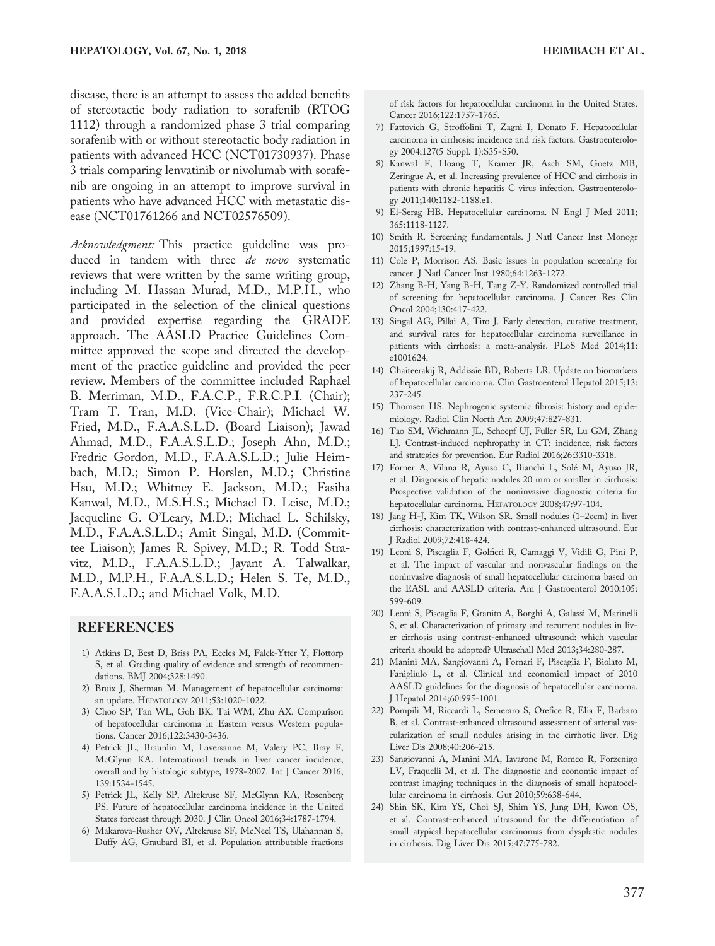disease, there is an attempt to assess the added benefits of stereotactic body radiation to sorafenib (RTOG 1112) through a randomized phase 3 trial comparing sorafenib with or without stereotactic body radiation in patients with advanced HCC (NCT01730937). Phase 3 trials comparing lenvatinib or nivolumab with sorafenib are ongoing in an attempt to improve survival in patients who have advanced HCC with metastatic disease (NCT01761266 and NCT02576509).

Acknowledgment: This practice guideline was produced in tandem with three de novo systematic reviews that were written by the same writing group, including M. Hassan Murad, M.D., M.P.H., who participated in the selection of the clinical questions and provided expertise regarding the GRADE approach. The AASLD Practice Guidelines Committee approved the scope and directed the development of the practice guideline and provided the peer review. Members of the committee included Raphael B. Merriman, M.D., F.A.C.P., F.R.C.P.I. (Chair); Tram T. Tran, M.D. (Vice-Chair); Michael W. Fried, M.D., F.A.A.S.L.D. (Board Liaison); Jawad Ahmad, M.D., F.A.A.S.L.D.; Joseph Ahn, M.D.; Fredric Gordon, M.D., F.A.A.S.L.D.; Julie Heimbach, M.D.; Simon P. Horslen, M.D.; Christine Hsu, M.D.; Whitney E. Jackson, M.D.; Fasiha Kanwal, M.D., M.S.H.S.; Michael D. Leise, M.D.; Jacqueline G. O'Leary, M.D.; Michael L. Schilsky, M.D., F.A.A.S.L.D.; Amit Singal, M.D. (Committee Liaison); James R. Spivey, M.D.; R. Todd Stravitz, M.D., F.A.A.S.L.D.; Jayant A. Talwalkar, M.D., M.P.H., F.A.A.S.L.D.; Helen S. Te, M.D., F.A.A.S.L.D.; and Michael Volk, M.D.

#### REFERENCES

- 1) Atkins D, Best D, Briss PA, Eccles M, Falck-Ytter Y, Flottorp S, et al. Grading quality of evidence and strength of recommendations. BMJ 2004;328:1490.
- 2) Bruix J, Sherman M. Management of hepatocellular carcinoma: an update. HEPATOLOGY 2011;53:1020-1022.
- 3) Choo SP, Tan WL, Goh BK, Tai WM, Zhu AX. Comparison of hepatocellular carcinoma in Eastern versus Western populations. Cancer 2016;122:3430-3436.
- 4) Petrick JL, Braunlin M, Laversanne M, Valery PC, Bray F, McGlynn KA. International trends in liver cancer incidence, overall and by histologic subtype, 1978-2007. Int J Cancer 2016; 139:1534-1545.
- 5) Petrick JL, Kelly SP, Altekruse SF, McGlynn KA, Rosenberg PS. Future of hepatocellular carcinoma incidence in the United States forecast through 2030. J Clin Oncol 2016;34:1787-1794.
- 6) Makarova-Rusher OV, Altekruse SF, McNeel TS, Ulahannan S, Duffy AG, Graubard BI, et al. Population attributable fractions

of risk factors for hepatocellular carcinoma in the United States. Cancer 2016;122:1757-1765.

- 7) Fattovich G, Stroffolini T, Zagni I, Donato F. Hepatocellular carcinoma in cirrhosis: incidence and risk factors. Gastroenterology 2004;127(5 Suppl. 1):S35-S50.
- 8) Kanwal F, Hoang T, Kramer JR, Asch SM, Goetz MB, Zeringue A, et al. Increasing prevalence of HCC and cirrhosis in patients with chronic hepatitis C virus infection. Gastroenterology 2011;140:1182-1188.e1.
- 9) El-Serag HB. Hepatocellular carcinoma. N Engl J Med 2011; 365:1118-1127.
- 10) Smith R. Screening fundamentals. J Natl Cancer Inst Monogr 2015;1997:15-19.
- 11) Cole P, Morrison AS. Basic issues in population screening for cancer. J Natl Cancer Inst 1980;64:1263-1272.
- 12) Zhang B-H, Yang B-H, Tang Z-Y. Randomized controlled trial of screening for hepatocellular carcinoma. J Cancer Res Clin Oncol 2004;130:417-422.
- 13) Singal AG, Pillai A, Tiro J. Early detection, curative treatment, and survival rates for hepatocellular carcinoma surveillance in patients with cirrhosis: a meta-analysis. PLoS Med 2014;11: e1001624.
- 14) Chaiteerakij R, Addissie BD, Roberts LR. Update on biomarkers of hepatocellular carcinoma. Clin Gastroenterol Hepatol 2015;13: 237-245.
- 15) Thomsen HS. Nephrogenic systemic fibrosis: history and epidemiology. Radiol Clin North Am 2009;47:827-831.
- 16) Tao SM, Wichmann JL, Schoepf UJ, Fuller SR, Lu GM, Zhang LJ. Contrast-induced nephropathy in CT: incidence, risk factors and strategies for prevention. Eur Radiol 2016;26:3310-3318.
- 17) Forner A, Vilana R, Ayuso C, Bianchi L, Solé M, Ayuso JR, et al. Diagnosis of hepatic nodules 20 mm or smaller in cirrhosis: Prospective validation of the noninvasive diagnostic criteria for hepatocellular carcinoma. HEPATOLOGY 2008;47:97-104.
- 18) Jang H-J, Kim TK, Wilson SR. Small nodules (1–2ccm) in liver cirrhosis: characterization with contrast-enhanced ultrasound. Eur J Radiol 2009;72:418-424.
- 19) Leoni S, Piscaglia F, Golfieri R, Camaggi V, Vidili G, Pini P, et al. The impact of vascular and nonvascular findings on the noninvasive diagnosis of small hepatocellular carcinoma based on the EASL and AASLD criteria. Am J Gastroenterol 2010;105: 599-609.
- 20) Leoni S, Piscaglia F, Granito A, Borghi A, Galassi M, Marinelli S, et al. Characterization of primary and recurrent nodules in liver cirrhosis using contrast-enhanced ultrasound: which vascular criteria should be adopted? Ultraschall Med 2013;34:280-287.
- 21) Manini MA, Sangiovanni A, Fornari F, Piscaglia F, Biolato M, Fanigliulo L, et al. Clinical and economical impact of 2010 AASLD guidelines for the diagnosis of hepatocellular carcinoma. J Hepatol 2014;60:995-1001.
- 22) Pompili M, Riccardi L, Semeraro S, Orefice R, Elia F, Barbaro B, et al. Contrast-enhanced ultrasound assessment of arterial vascularization of small nodules arising in the cirrhotic liver. Dig Liver Dis 2008;40:206-215.
- 23) Sangiovanni A, Manini MA, Iavarone M, Romeo R, Forzenigo LV, Fraquelli M, et al. The diagnostic and economic impact of contrast imaging techniques in the diagnosis of small hepatocellular carcinoma in cirrhosis. Gut 2010;59:638-644.
- 24) Shin SK, Kim YS, Choi SJ, Shim YS, Jung DH, Kwon OS, et al. Contrast-enhanced ultrasound for the differentiation of small atypical hepatocellular carcinomas from dysplastic nodules in cirrhosis. Dig Liver Dis 2015;47:775-782.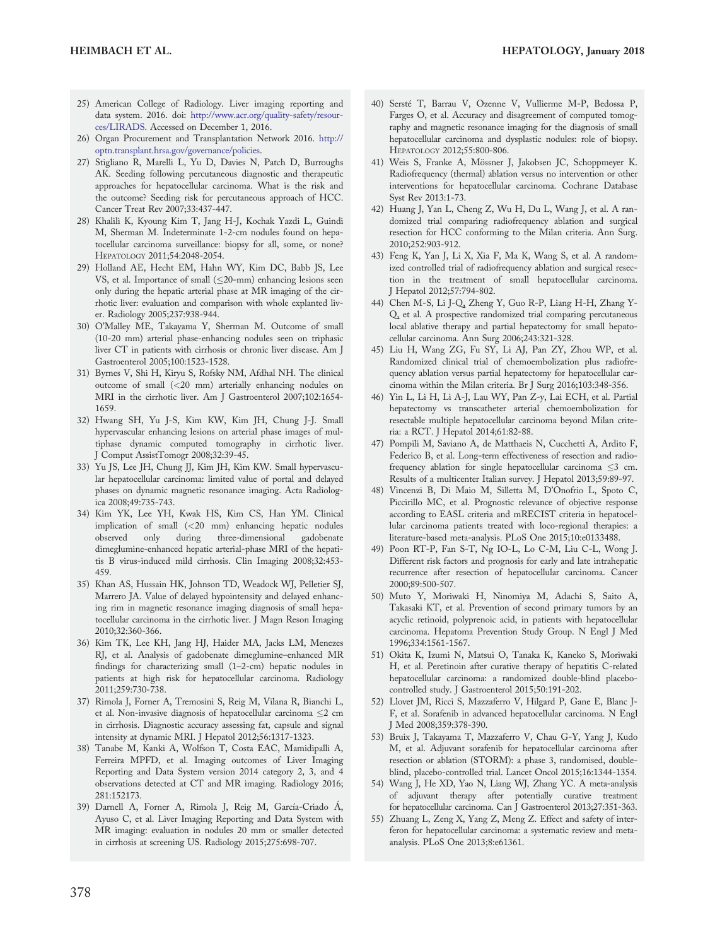- 25) American College of Radiology. Liver imaging reporting and data system. 2016. doi: [http://www.acr.org/quality-safety/resour](http://www.acr.org/quality-safety/resources/LIRADS)[ces/LIRADS.](http://www.acr.org/quality-safety/resources/LIRADS) Accessed on December 1, 2016.
- 26) Organ Procurement and Transplantation Network 2016. [http://](https://optn.transplant.hrsa.gov/governance/policies) [optn.transplant.hrsa.gov/governance/policies.](https://optn.transplant.hrsa.gov/governance/policies)
- 27) Stigliano R, Marelli L, Yu D, Davies N, Patch D, Burroughs AK. Seeding following percutaneous diagnostic and therapeutic approaches for hepatocellular carcinoma. What is the risk and the outcome? Seeding risk for percutaneous approach of HCC. Cancer Treat Rev 2007;33:437-447.
- 28) Khalili K, Kyoung Kim T, Jang H-J, Kochak Yazdi L, Guindi M, Sherman M. Indeterminate 1-2-cm nodules found on hepatocellular carcinoma surveillance: biopsy for all, some, or none? HEPATOLOGY 2011;54:2048-2054.
- 29) Holland AE, Hecht EM, Hahn WY, Kim DC, Babb JS, Lee VS, et al. Importance of small  $(\leq 20$ -mm) enhancing lesions seen only during the hepatic arterial phase at MR imaging of the cirrhotic liver: evaluation and comparison with whole explanted liver. Radiology 2005;237:938-944.
- 30) O'Malley ME, Takayama Y, Sherman M. Outcome of small (10-20 mm) arterial phase-enhancing nodules seen on triphasic liver CT in patients with cirrhosis or chronic liver disease. Am J Gastroenterol 2005;100:1523-1528.
- 31) Byrnes V, Shi H, Kiryu S, Rofsky NM, Afdhal NH. The clinical outcome of small (<20 mm) arterially enhancing nodules on MRI in the cirrhotic liver. Am J Gastroenterol 2007;102:1654- 1659.
- 32) Hwang SH, Yu J-S, Kim KW, Kim JH, Chung J-J. Small hypervascular enhancing lesions on arterial phase images of multiphase dynamic computed tomography in cirrhotic liver. J Comput AssistTomogr 2008;32:39-45.
- 33) Yu JS, Lee JH, Chung JJ, Kim JH, Kim KW. Small hypervascular hepatocellular carcinoma: limited value of portal and delayed phases on dynamic magnetic resonance imaging. Acta Radiologica 2008;49:735-743.
- 34) Kim YK, Lee YH, Kwak HS, Kim CS, Han YM. Clinical implication of small (<20 mm) enhancing hepatic nodules observed only during three-dimensional gadobenate dimeglumine-enhanced hepatic arterial-phase MRI of the hepatitis B virus-induced mild cirrhosis. Clin Imaging 2008;32:453- 459.
- 35) Khan AS, Hussain HK, Johnson TD, Weadock WJ, Pelletier SJ, Marrero JA. Value of delayed hypointensity and delayed enhancing rim in magnetic resonance imaging diagnosis of small hepatocellular carcinoma in the cirrhotic liver. J Magn Reson Imaging 2010;32:360-366.
- 36) Kim TK, Lee KH, Jang HJ, Haider MA, Jacks LM, Menezes RJ, et al. Analysis of gadobenate dimeglumine–enhanced MR findings for characterizing small (1–2-cm) hepatic nodules in patients at high risk for hepatocellular carcinoma. Radiology 2011;259:730-738.
- 37) Rimola J, Forner A, Tremosini S, Reig M, Vilana R, Bianchi L, et al. Non-invasive diagnosis of hepatocellular carcinoma  $\leq$  cm in cirrhosis. Diagnostic accuracy assessing fat, capsule and signal intensity at dynamic MRI. J Hepatol 2012;56:1317-1323.
- 38) Tanabe M, Kanki A, Wolfson T, Costa EAC, Mamidipalli A, Ferreira MPFD, et al. Imaging outcomes of Liver Imaging Reporting and Data System version 2014 category 2, 3, and 4 observations detected at CT and MR imaging. Radiology 2016; 281:152173.
- 39) Darnell A, Forner A, Rimola J, Reig M, García-Criado Á, Ayuso C, et al. Liver Imaging Reporting and Data System with MR imaging: evaluation in nodules 20 mm or smaller detected in cirrhosis at screening US. Radiology 2015;275:698-707.
- 40) Sersté T, Barrau V, Ozenne V, Vullierme M-P, Bedossa P, Farges O, et al. Accuracy and disagreement of computed tomography and magnetic resonance imaging for the diagnosis of small hepatocellular carcinoma and dysplastic nodules: role of biopsy. HEPATOLOGY 2012;55:800-806.
- 41) Weis S, Franke A, Mössner J, Jakobsen JC, Schoppmeyer K. Radiofrequency (thermal) ablation versus no intervention or other interventions for hepatocellular carcinoma. Cochrane Database Syst Rev 2013:1-73.
- 42) Huang J, Yan L, Cheng Z, Wu H, Du L, Wang J, et al. A randomized trial comparing radiofrequency ablation and surgical resection for HCC conforming to the Milan criteria. Ann Surg. 2010;252:903-912.
- 43) Feng K, Yan J, Li X, Xia F, Ma K, Wang S, et al. A randomized controlled trial of radiofrequency ablation and surgical resection in the treatment of small hepatocellular carcinoma. J Hepatol 2012;57:794-802.
- 44) Chen M-S, Li J-Q, Zheng Y, Guo R-P, Liang H-H, Zhang Y-Q, et al. A prospective randomized trial comparing percutaneous local ablative therapy and partial hepatectomy for small hepatocellular carcinoma. Ann Surg 2006;243:321-328.
- 45) Liu H, Wang ZG, Fu SY, Li AJ, Pan ZY, Zhou WP, et al. Randomized clinical trial of chemoembolization plus radiofrequency ablation versus partial hepatectomy for hepatocellular carcinoma within the Milan criteria. Br J Surg 2016;103:348-356.
- 46) Yin L, Li H, Li A-J, Lau WY, Pan Z-y, Lai ECH, et al. Partial hepatectomy vs transcatheter arterial chemoembolization for resectable multiple hepatocellular carcinoma beyond Milan criteria: a RCT. J Hepatol 2014;61:82-88.
- 47) Pompili M, Saviano A, de Matthaeis N, Cucchetti A, Ardito F, Federico B, et al. Long-term effectiveness of resection and radiofrequency ablation for single hepatocellular carcinoma  $\leq$ 3 cm. Results of a multicenter Italian survey. J Hepatol 2013;59:89-97.
- 48) Vincenzi B, Di Maio M, Silletta M, D'Onofrio L, Spoto C, Piccirillo MC, et al. Prognostic relevance of objective response according to EASL criteria and mRECIST criteria in hepatocellular carcinoma patients treated with loco-regional therapies: a literature-based meta-analysis. PLoS One 2015;10:e0133488.
- 49) Poon RT-P, Fan S-T, Ng IO-L, Lo C-M, Liu C-L, Wong J. Different risk factors and prognosis for early and late intrahepatic recurrence after resection of hepatocellular carcinoma. Cancer 2000;89:500-507.
- 50) Muto Y, Moriwaki H, Ninomiya M, Adachi S, Saito A, Takasaki KT, et al. Prevention of second primary tumors by an acyclic retinoid, polyprenoic acid, in patients with hepatocellular carcinoma. Hepatoma Prevention Study Group. N Engl J Med 1996;334:1561-1567.
- 51) Okita K, Izumi N, Matsui O, Tanaka K, Kaneko S, Moriwaki H, et al. Peretinoin after curative therapy of hepatitis C-related hepatocellular carcinoma: a randomized double-blind placebocontrolled study. J Gastroenterol 2015;50:191-202.
- 52) Llovet JM, Ricci S, Mazzaferro V, Hilgard P, Gane E, Blanc J-F, et al. Sorafenib in advanced hepatocellular carcinoma. N Engl J Med 2008;359:378-390.
- 53) Bruix J, Takayama T, Mazzaferro V, Chau G-Y, Yang J, Kudo M, et al. Adjuvant sorafenib for hepatocellular carcinoma after resection or ablation (STORM): a phase 3, randomised, doubleblind, placebo-controlled trial. Lancet Oncol 2015;16:1344-1354.
- 54) Wang J, He XD, Yao N, Liang WJ, Zhang YC. A meta-analysis of adjuvant therapy after potentially curative treatment for hepatocellular carcinoma. Can J Gastroenterol 2013;27:351-363.
- 55) Zhuang L, Zeng X, Yang Z, Meng Z. Effect and safety of interferon for hepatocellular carcinoma: a systematic review and metaanalysis. PLoS One 2013;8:e61361.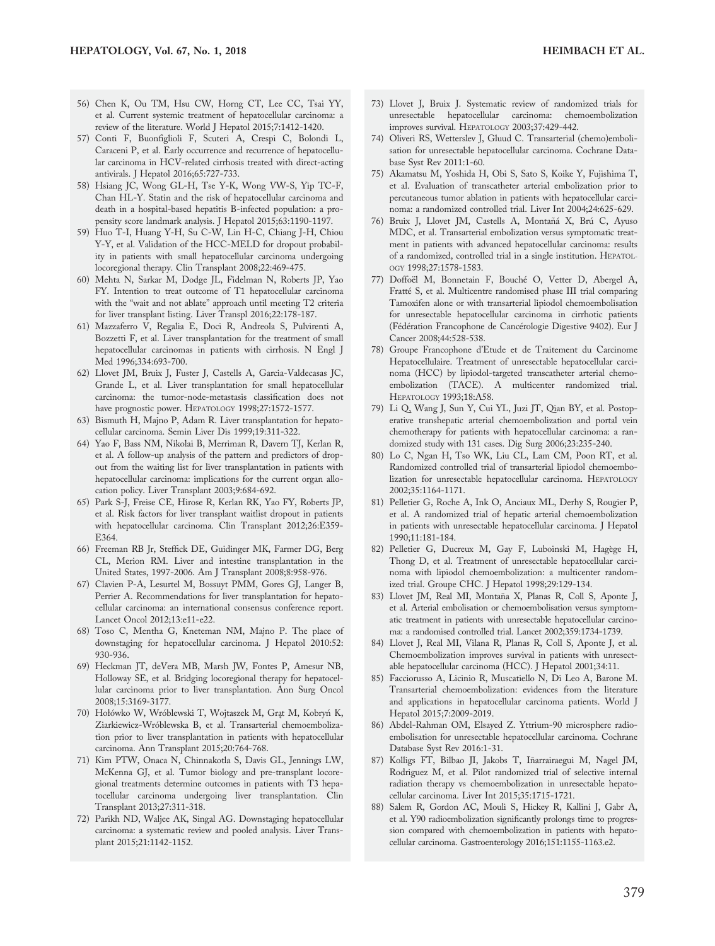- 56) Chen K, Ou TM, Hsu CW, Horng CT, Lee CC, Tsai YY, et al. Current systemic treatment of hepatocellular carcinoma: a review of the literature. World J Hepatol 2015;7:1412-1420.
- 57) Conti F, Buonfiglioli F, Scuteri A, Crespi C, Bolondi L, Caraceni P, et al. Early occurrence and recurrence of hepatocellular carcinoma in HCV-related cirrhosis treated with direct-acting antivirals. J Hepatol 2016;65:727-733.
- 58) Hsiang JC, Wong GL-H, Tse Y-K, Wong VW-S, Yip TC-F, Chan HL-Y. Statin and the risk of hepatocellular carcinoma and death in a hospital-based hepatitis B-infected population: a propensity score landmark analysis. J Hepatol 2015;63:1190-1197.
- 59) Huo T-I, Huang Y-H, Su C-W, Lin H-C, Chiang J-H, Chiou Y-Y, et al. Validation of the HCC-MELD for dropout probability in patients with small hepatocellular carcinoma undergoing locoregional therapy. Clin Transplant 2008;22:469-475.
- 60) Mehta N, Sarkar M, Dodge JL, Fidelman N, Roberts JP, Yao FY. Intention to treat outcome of T1 hepatocellular carcinoma with the "wait and not ablate" approach until meeting T2 criteria for liver transplant listing. Liver Transpl 2016;22:178-187.
- 61) Mazzaferro V, Regalia E, Doci R, Andreola S, Pulvirenti A, Bozzetti F, et al. Liver transplantation for the treatment of small hepatocellular carcinomas in patients with cirrhosis. N Engl J Med 1996;334:693-700.
- 62) Llovet JM, Bruix J, Fuster J, Castells A, Garcia-Valdecasas JC, Grande L, et al. Liver transplantation for small hepatocellular carcinoma: the tumor-node-metastasis classification does not have prognostic power. HEPATOLOGY 1998;27:1572-1577.
- 63) Bismuth H, Majno P, Adam R. Liver transplantation for hepatocellular carcinoma. Semin Liver Dis 1999;19:311-322.
- 64) Yao F, Bass NM, Nikolai B, Merriman R, Davern TJ, Kerlan R, et al. A follow-up analysis of the pattern and predictors of dropout from the waiting list for liver transplantation in patients with hepatocellular carcinoma: implications for the current organ allocation policy. Liver Transplant 2003;9:684-692.
- 65) Park S-J, Freise CE, Hirose R, Kerlan RK, Yao FY, Roberts JP, et al. Risk factors for liver transplant waitlist dropout in patients with hepatocellular carcinoma. Clin Transplant 2012;26:E359- E364.
- 66) Freeman RB Jr, Steffick DE, Guidinger MK, Farmer DG, Berg CL, Merion RM. Liver and intestine transplantation in the United States, 1997-2006. Am J Transplant 2008;8:958-976.
- 67) Clavien P-A, Lesurtel M, Bossuyt PMM, Gores GJ, Langer B, Perrier A. Recommendations for liver transplantation for hepatocellular carcinoma: an international consensus conference report. Lancet Oncol 2012;13:e11-e22.
- 68) Toso C, Mentha G, Kneteman NM, Majno P. The place of downstaging for hepatocellular carcinoma. J Hepatol 2010:52: 930-936.
- 69) Heckman JT, deVera MB, Marsh JW, Fontes P, Amesur NB, Holloway SE, et al. Bridging locoregional therapy for hepatocellular carcinoma prior to liver transplantation. Ann Surg Oncol 2008;15:3169-3177.
- 70) Hołówko W, Wróblewski T, Wojtaszek M, Grąt M, Kobryń K, Ziarkiewicz-Wróblewska B, et al. Transarterial chemoembolization prior to liver transplantation in patients with hepatocellular carcinoma. Ann Transplant 2015;20:764-768.
- 71) Kim PTW, Onaca N, Chinnakotla S, Davis GL, Jennings LW, McKenna GJ, et al. Tumor biology and pre-transplant locoregional treatments determine outcomes in patients with T3 hepatocellular carcinoma undergoing liver transplantation. Clin Transplant 2013;27:311-318.
- 72) Parikh ND, Waljee AK, Singal AG. Downstaging hepatocellular carcinoma: a systematic review and pooled analysis. Liver Transplant 2015;21:1142-1152.
- 73) Llovet J, Bruix J. Systematic review of randomized trials for unresectable hepatocellular carcinoma: chemoembolization improves survival. HEPATOLOGY 2003;37:429-442.
- 74) Oliveri RS, Wetterslev J, Gluud C. Transarterial (chemo)embolisation for unresectable hepatocellular carcinoma. Cochrane Database Syst Rev 2011:1-60.
- 75) Akamatsu M, Yoshida H, Obi S, Sato S, Koike Y, Fujishima T, et al. Evaluation of transcatheter arterial embolization prior to percutaneous tumor ablation in patients with hepatocellular carcinoma: a randomized controlled trial. Liver Int 2004;24:625-629.
- 76) Bruix J, Llovet JM, Castells A, Montañá X, Brú C, Ayuso MDC, et al. Transarterial embolization versus symptomatic treatment in patients with advanced hepatocellular carcinoma: results of a randomized, controlled trial in a single institution. HEPATOL-OGY 1998;27:1578-1583.
- 77) Doffoël M, Bonnetain F, Bouché O, Vetter D, Abergel A, Fratté S, et al. Multicentre randomised phase III trial comparing Tamoxifen alone or with transarterial lipiodol chemoembolisation for unresectable hepatocellular carcinoma in cirrhotic patients (Fédération Francophone de Cancérologie Digestive 9402). Eur J Cancer 2008;44:528-538.
- 78) Groupe Francophone d'Etude et de Traitement du Carcinome Hepatocellulaire. Treatment of unresectable hepatocellular carcinoma (HCC) by lipiodol-targeted transcatheter arterial chemoembolization (TACE). A multicenter randomized trial. HEPATOLOGY 1993;18:A58.
- 79) Li Q, Wang J, Sun Y, Cui YL, Juzi JT, Qian BY, et al. Postoperative transhepatic arterial chemoembolization and portal vein chemotherapy for patients with hepatocellular carcinoma: a randomized study with 131 cases. Dig Surg 2006;23:235-240.
- 80) Lo C, Ngan H, Tso WK, Liu CL, Lam CM, Poon RT, et al. Randomized controlled trial of transarterial lipiodol chemoembolization for unresectable hepatocellular carcinoma. HEPATOLOGY 2002;35:1164-1171.
- 81) Pelletier G, Roche A, Ink O, Anciaux ML, Derhy S, Rougier P, et al. A randomized trial of hepatic arterial chemoembolization in patients with unresectable hepatocellular carcinoma. J Hepatol 1990;11:181-184.
- 82) Pelletier G, Ducreux M, Gay F, Luboinski M, Hagège H, Thong D, et al. Treatment of unresectable hepatocellular carcinoma with lipiodol chemoembolization: a multicenter randomized trial. Groupe CHC. J Hepatol 1998;29:129-134.
- 83) Llovet JM, Real MI, Montaña X, Planas R, Coll S, Aponte J, et al. Arterial embolisation or chemoembolisation versus symptomatic treatment in patients with unresectable hepatocellular carcinoma: a randomised controlled trial. Lancet 2002;359:1734-1739.
- 84) Llovet J, Real MI, Vilana R, Planas R, Coll S, Aponte J, et al. Chemoembolization improves survival in patients with unresectable hepatocellular carcinoma (HCC). J Hepatol 2001;34:11.
- 85) Facciorusso A, Licinio R, Muscatiello N, Di Leo A, Barone M. Transarterial chemoembolization: evidences from the literature and applications in hepatocellular carcinoma patients. World J Hepatol 2015;7:2009-2019.
- 86) Abdel-Rahman OM, Elsayed Z. Yttrium-90 microsphere radioembolisation for unresectable hepatocellular carcinoma. Cochrane Database Syst Rev 2016:1-31.
- 87) Kolligs FT, Bilbao JI, Jakobs T, Inarrairaegui M, Nagel JM, ~ Rodriguez M, et al. Pilot randomized trial of selective internal radiation therapy vs chemoembolization in unresectable hepatocellular carcinoma. Liver Int 2015;35:1715-1721.
- 88) Salem R, Gordon AC, Mouli S, Hickey R, Kallini J, Gabr A, et al. Y90 radioembolization significantly prolongs time to progression compared with chemoembolization in patients with hepatocellular carcinoma. Gastroenterology 2016;151:1155-1163.e2.